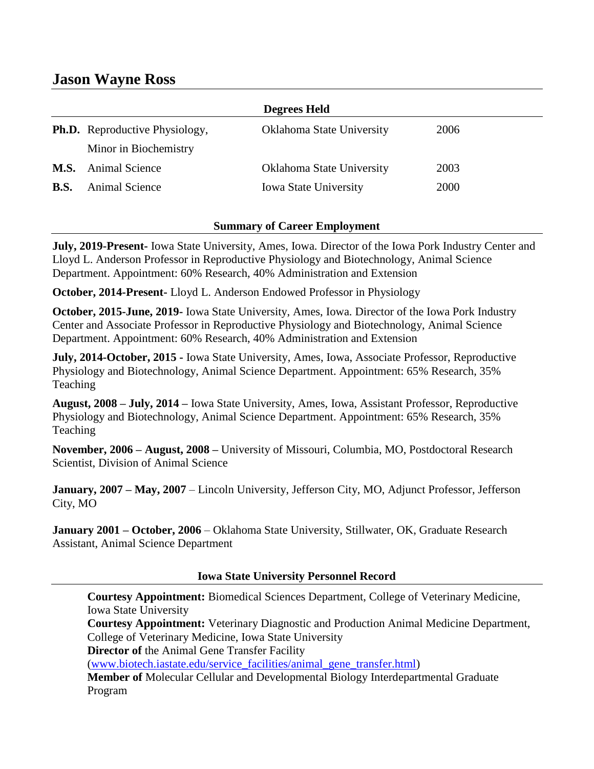# **Jason Wayne Ross**

|             |                                       | <b>Degrees Held</b>          |      |
|-------------|---------------------------------------|------------------------------|------|
|             | <b>Ph.D.</b> Reproductive Physiology, | Oklahoma State University    | 2006 |
|             | Minor in Biochemistry                 |                              |      |
| <b>M.S.</b> | <b>Animal Science</b>                 | Oklahoma State University    | 2003 |
| <b>B.S.</b> | <b>Animal Science</b>                 | <b>Iowa State University</b> | 2000 |

#### **Summary of Career Employment**

**July, 2019-Present-** Iowa State University, Ames, Iowa. Director of the Iowa Pork Industry Center and Lloyd L. Anderson Professor in Reproductive Physiology and Biotechnology, Animal Science Department. Appointment: 60% Research, 40% Administration and Extension

**October, 2014-Present-** Lloyd L. Anderson Endowed Professor in Physiology

**October, 2015-June, 2019-** Iowa State University, Ames, Iowa. Director of the Iowa Pork Industry Center and Associate Professor in Reproductive Physiology and Biotechnology, Animal Science Department. Appointment: 60% Research, 40% Administration and Extension

**July, 2014-October, 2015 -** Iowa State University, Ames, Iowa, Associate Professor, Reproductive Physiology and Biotechnology, Animal Science Department. Appointment: 65% Research, 35% Teaching

**August, 2008 – July, 2014 –** Iowa State University, Ames, Iowa, Assistant Professor, Reproductive Physiology and Biotechnology, Animal Science Department. Appointment: 65% Research, 35% Teaching

**November, 2006 – August, 2008 –** University of Missouri, Columbia, MO, Postdoctoral Research Scientist, Division of Animal Science

**January, 2007 – May, 2007** – Lincoln University, Jefferson City, MO, Adjunct Professor, Jefferson City, MO

**January 2001 – October, 2006** – Oklahoma State University, Stillwater, OK, Graduate Research Assistant, Animal Science Department

#### **Iowa State University Personnel Record**

**Courtesy Appointment:** Biomedical Sciences Department, College of Veterinary Medicine, Iowa State University

**Courtesy Appointment:** Veterinary Diagnostic and Production Animal Medicine Department, College of Veterinary Medicine, Iowa State University

**Director of** the Animal Gene Transfer Facility

[\(www.biotech.iastate.edu/service\\_facilities/animal\\_gene\\_transfer.html\)](http://www.biotech.iastate.edu/service_facilities/animal_gene_transfer.html)

**Member of** Molecular Cellular and Developmental Biology Interdepartmental Graduate Program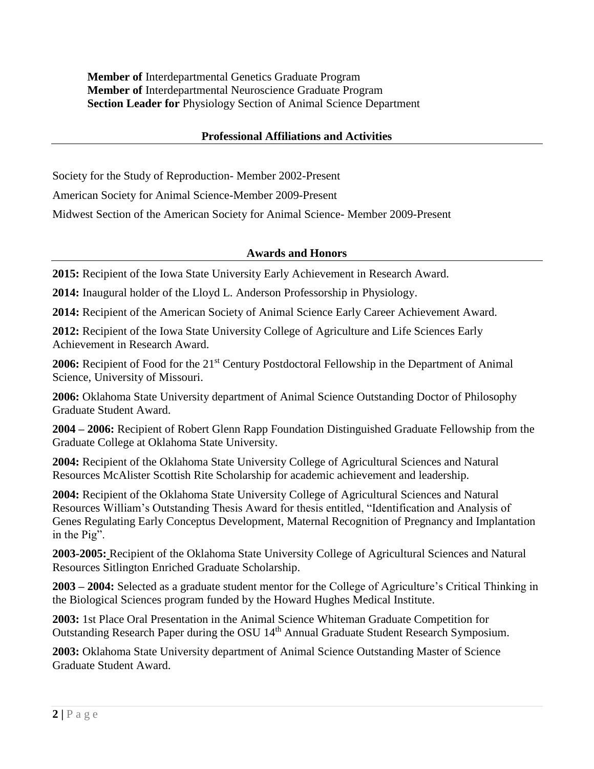**Member of** Interdepartmental Genetics Graduate Program **Member of** Interdepartmental Neuroscience Graduate Program **Section Leader for** Physiology Section of Animal Science Department

# **Professional Affiliations and Activities**

Society for the Study of Reproduction- Member 2002-Present

American Society for Animal Science-Member 2009-Present

Midwest Section of the American Society for Animal Science- Member 2009-Present

### **Awards and Honors**

**2015:** Recipient of the Iowa State University Early Achievement in Research Award.

**2014:** Inaugural holder of the Lloyd L. Anderson Professorship in Physiology.

**2014:** Recipient of the American Society of Animal Science Early Career Achievement Award.

**2012:** Recipient of the Iowa State University College of Agriculture and Life Sciences Early Achievement in Research Award.

**2006:** Recipient of Food for the 21<sup>st</sup> Century Postdoctoral Fellowship in the Department of Animal Science, University of Missouri.

**2006:** Oklahoma State University department of Animal Science Outstanding Doctor of Philosophy Graduate Student Award.

**2004 – 2006:** Recipient of Robert Glenn Rapp Foundation Distinguished Graduate Fellowship from the Graduate College at Oklahoma State University.

**2004:** Recipient of the Oklahoma State University College of Agricultural Sciences and Natural Resources McAlister Scottish Rite Scholarship for academic achievement and leadership.

**2004:** Recipient of the Oklahoma State University College of Agricultural Sciences and Natural Resources William's Outstanding Thesis Award for thesis entitled, "Identification and Analysis of Genes Regulating Early Conceptus Development, Maternal Recognition of Pregnancy and Implantation in the Pig".

**2003-2005:** Recipient of the Oklahoma State University College of Agricultural Sciences and Natural Resources Sitlington Enriched Graduate Scholarship.

**2003 – 2004:** Selected as a graduate student mentor for the College of Agriculture's Critical Thinking in the Biological Sciences program funded by the Howard Hughes Medical Institute.

**2003:** 1st Place Oral Presentation in the Animal Science Whiteman Graduate Competition for Outstanding Research Paper during the OSU 14th Annual Graduate Student Research Symposium.

**2003:** Oklahoma State University department of Animal Science Outstanding Master of Science Graduate Student Award.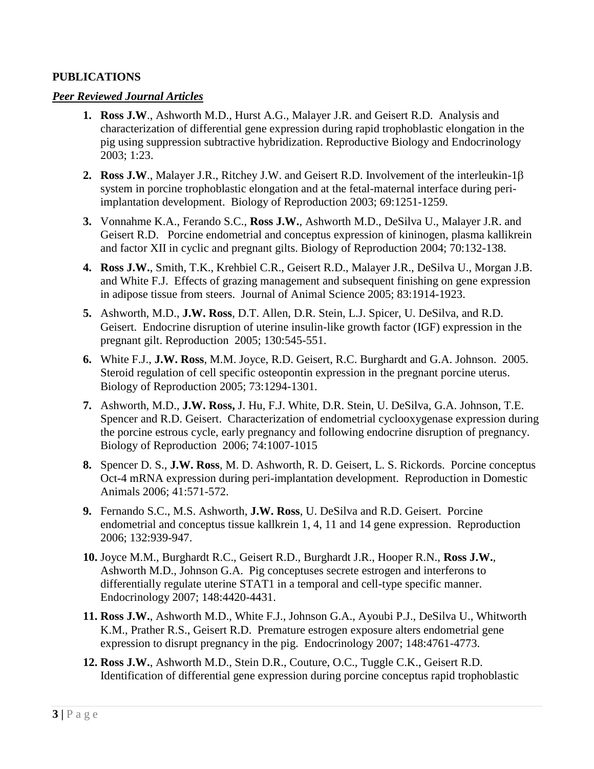# **PUBLICATIONS**

### *Peer Reviewed Journal Articles*

- **1. Ross J.W**., Ashworth M.D., Hurst A.G., Malayer J.R. and Geisert R.D. Analysis and characterization of differential gene expression during rapid trophoblastic elongation in the pig using suppression subtractive hybridization. Reproductive Biology and Endocrinology 2003; 1:23.
- **2. Ross J.W**., Malayer J.R., Ritchey J.W. and Geisert R.D. Involvement of the interleukin-1 system in porcine trophoblastic elongation and at the fetal-maternal interface during periimplantation development. Biology of Reproduction 2003; 69:1251-1259.
- **3.** Vonnahme K.A., Ferando S.C., **Ross J.W.**, Ashworth M.D., DeSilva U., Malayer J.R. and Geisert R.D. Porcine endometrial and conceptus expression of kininogen, plasma kallikrein and factor XII in cyclic and pregnant gilts. Biology of Reproduction 2004; 70:132-138.
- **4. Ross J.W.**, Smith, T.K., Krehbiel C.R., Geisert R.D., Malayer J.R., DeSilva U., Morgan J.B. and White F.J. Effects of grazing management and subsequent finishing on gene expression in adipose tissue from steers. Journal of Animal Science 2005; 83:1914-1923.
- **5.** Ashworth, M.D., **J.W. Ross**, D.T. Allen, D.R. Stein, L.J. Spicer, U. DeSilva, and R.D. Geisert. Endocrine disruption of uterine insulin-like growth factor (IGF) expression in the pregnant gilt. Reproduction 2005; 130:545-551.
- **6.** White F.J., **J.W. Ross**, M.M. Joyce, R.D. Geisert, R.C. Burghardt and G.A. Johnson. 2005. Steroid regulation of cell specific osteopontin expression in the pregnant porcine uterus. Biology of Reproduction 2005; 73:1294-1301.
- **7.** Ashworth, M.D., **J.W. Ross,** J. Hu, F.J. White, D.R. Stein, U. DeSilva, G.A. Johnson, T.E. Spencer and R.D. Geisert. Characterization of endometrial cyclooxygenase expression during the porcine estrous cycle, early pregnancy and following endocrine disruption of pregnancy. Biology of Reproduction 2006; 74:1007-1015
- **8.** Spencer D. S., **J.W. Ross**, M. D. Ashworth, R. D. Geisert, L. S. Rickords. Porcine conceptus Oct-4 mRNA expression during peri-implantation development. Reproduction in Domestic Animals 2006; 41:571-572.
- **9.** Fernando S.C., M.S. Ashworth, **J.W. Ross**, U. DeSilva and R.D. Geisert. Porcine endometrial and conceptus tissue kallkrein 1, 4, 11 and 14 gene expression. Reproduction 2006; 132:939-947.
- **10.** Joyce M.M., Burghardt R.C., Geisert R.D., Burghardt J.R., Hooper R.N., **Ross J.W.**, Ashworth M.D., Johnson G.A. Pig conceptuses secrete estrogen and interferons to differentially regulate uterine STAT1 in a temporal and cell-type specific manner. Endocrinology 2007; 148:4420-4431.
- **11. Ross J.W.**, Ashworth M.D., White F.J., Johnson G.A., Ayoubi P.J., DeSilva U., Whitworth K.M., Prather R.S., Geisert R.D. Premature estrogen exposure alters endometrial gene expression to disrupt pregnancy in the pig. Endocrinology 2007; 148:4761-4773.
- **12. Ross J.W.**, Ashworth M.D., Stein D.R., Couture, O.C., Tuggle C.K., Geisert R.D. Identification of differential gene expression during porcine conceptus rapid trophoblastic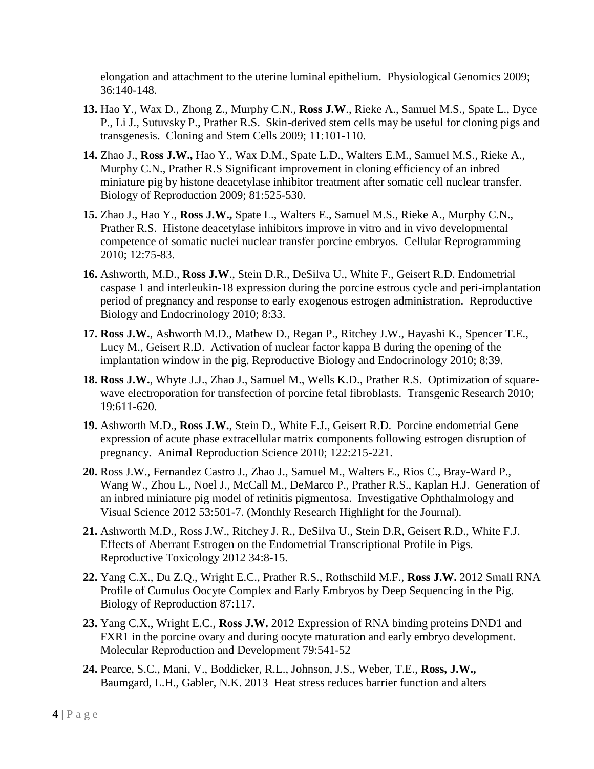elongation and attachment to the uterine luminal epithelium. Physiological Genomics 2009; 36:140-148.

- **13.** Hao Y., Wax D., Zhong Z., Murphy C.N., **Ross J.W**., Rieke A., Samuel M.S., Spate L., Dyce P., Li J., Sutuvsky P., Prather R.S. Skin-derived stem cells may be useful for cloning pigs and transgenesis. Cloning and Stem Cells 2009; 11:101-110.
- **14.** Zhao J., **Ross J.W.,** Hao Y., Wax D.M., Spate L.D., Walters E.M., Samuel M.S., Rieke A., Murphy C.N., Prather R.S Significant improvement in cloning efficiency of an inbred miniature pig by histone deacetylase inhibitor treatment after somatic cell nuclear transfer. Biology of Reproduction 2009; 81:525-530.
- **15.** Zhao J., Hao Y., **Ross J.W.,** Spate L., Walters E., Samuel M.S., Rieke A., Murphy C.N., Prather R.S. Histone deacetylase inhibitors improve in vitro and in vivo developmental competence of somatic nuclei nuclear transfer porcine embryos. Cellular Reprogramming 2010; 12:75-83.
- **16.** Ashworth, M.D., **Ross J.W**., Stein D.R., DeSilva U., White F., Geisert R.D. Endometrial caspase 1 and interleukin-18 expression during the porcine estrous cycle and peri-implantation period of pregnancy and response to early exogenous estrogen administration. Reproductive Biology and Endocrinology 2010; 8:33.
- **17. Ross J.W.**, Ashworth M.D., Mathew D., Regan P., Ritchey J.W., Hayashi K., Spencer T.E., Lucy M., Geisert R.D. Activation of nuclear factor kappa B during the opening of the implantation window in the pig. Reproductive Biology and Endocrinology 2010; 8:39.
- **18. Ross J.W.**, Whyte J.J., Zhao J., Samuel M., Wells K.D., Prather R.S. Optimization of squarewave electroporation for transfection of porcine fetal fibroblasts. Transgenic Research 2010; 19:611-620.
- **19.** Ashworth M.D., **Ross J.W.**, Stein D., White F.J., Geisert R.D. Porcine endometrial Gene expression of acute phase extracellular matrix components following estrogen disruption of pregnancy. Animal Reproduction Science 2010; 122:215-221.
- **20.** Ross J.W., Fernandez Castro J., Zhao J., Samuel M., Walters E., Rios C., Bray-Ward P., Wang W., Zhou L., Noel J., McCall M., DeMarco P., Prather R.S., Kaplan H.J. Generation of an inbred miniature pig model of retinitis pigmentosa. Investigative Ophthalmology and Visual Science 2012 53:501-7. (Monthly Research Highlight for the Journal).
- **21.** Ashworth M.D., Ross J.W., Ritchey J. R., DeSilva U., Stein D.R, Geisert R.D., White F.J. Effects of Aberrant Estrogen on the Endometrial Transcriptional Profile in Pigs. Reproductive Toxicology 2012 34:8-15.
- **22.** Yang C.X., Du Z.Q., Wright E.C., Prather R.S., Rothschild M.F., **Ross J.W.** 2012 Small RNA Profile of Cumulus Oocyte Complex and Early Embryos by Deep Sequencing in the Pig. Biology of Reproduction 87:117.
- **23.** Yang C.X., Wright E.C., **Ross J.W.** 2012 Expression of RNA binding proteins DND1 and FXR1 in the porcine ovary and during oocyte maturation and early embryo development. Molecular Reproduction and Development 79:541-52
- **24.** Pearce, S.C., Mani, V., Boddicker, R.L., Johnson, J.S., Weber, T.E., **Ross, J.W.,**  Baumgard, L.H., Gabler, N.K. 2013 Heat stress reduces barrier function and alters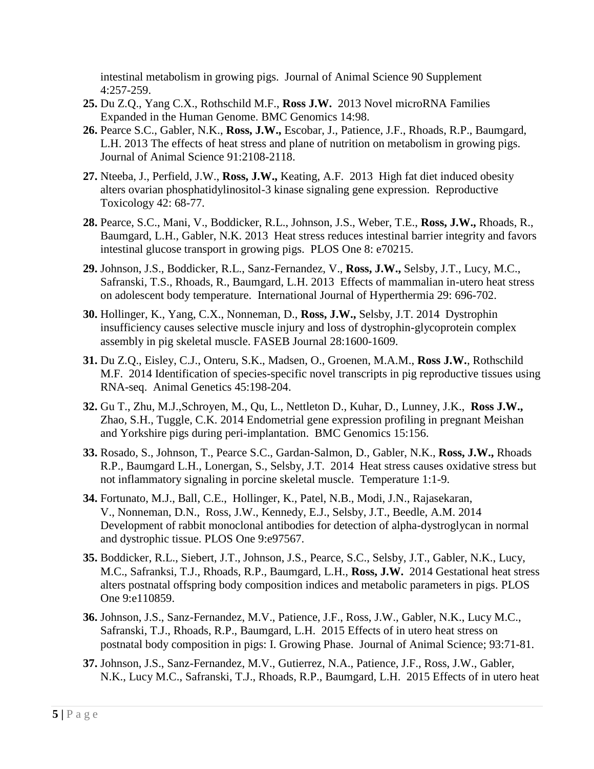intestinal metabolism in growing pigs. Journal of Animal Science 90 Supplement 4:257-259.

- **25.** Du Z.Q., Yang C.X., Rothschild M.F., **Ross J.W.** 2013 Novel microRNA Families Expanded in the Human Genome. BMC Genomics 14:98.
- **26.** Pearce S.C., Gabler, N.K., **Ross, J.W.,** Escobar, J., Patience, J.F., Rhoads, R.P., Baumgard, L.H. 2013 The effects of heat stress and plane of nutrition on metabolism in growing pigs. Journal of Animal Science 91:2108-2118.
- **27.** Nteeba, J., Perfield, J.W., **Ross, J.W.,** Keating, A.F. 2013 High fat diet induced obesity alters ovarian phosphatidylinositol-3 kinase signaling gene expression. Reproductive Toxicology 42: 68-77.
- **28.** Pearce, S.C., Mani, V., Boddicker, R.L., Johnson, J.S., Weber, T.E., **Ross, J.W.,** Rhoads, R., Baumgard, L.H., Gabler, N.K. 2013 Heat stress reduces intestinal barrier integrity and favors intestinal glucose transport in growing pigs. PLOS One 8: e70215.
- **29.** Johnson, J.S., Boddicker, R.L., Sanz-Fernandez, V., **Ross, J.W.,** Selsby, J.T., Lucy, M.C., Safranski, T.S., Rhoads, R., Baumgard, L.H. 2013 Effects of mammalian in-utero heat stress on adolescent body temperature. International Journal of Hyperthermia 29: 696-702.
- **30.** Hollinger, K., Yang, C.X., Nonneman, D., **Ross, J.W.,** Selsby, J.T. 2014 Dystrophin insufficiency causes selective muscle injury and loss of dystrophin-glycoprotein complex assembly in pig skeletal muscle. FASEB Journal 28:1600-1609.
- **31.** Du Z.Q., Eisley, C.J., Onteru, S.K., Madsen, O., Groenen, M.A.M., **Ross J.W.**, Rothschild M.F. 2014 Identification of species-specific novel transcripts in pig reproductive tissues using RNA-seq. Animal Genetics 45:198-204.
- **32.** Gu T., Zhu, M.J.,Schroyen, M., Qu, L., Nettleton D., Kuhar, D., Lunney, J.K., **Ross J.W.,**  Zhao, S.H., Tuggle, C.K. 2014 Endometrial gene expression profiling in pregnant Meishan and Yorkshire pigs during peri-implantation. BMC Genomics 15:156.
- **33.** Rosado, S., Johnson, T., Pearce S.C., Gardan-Salmon, D., Gabler, N.K., **Ross, J.W.,** Rhoads R.P., Baumgard L.H., Lonergan, S., Selsby, J.T. 2014 Heat stress causes oxidative stress but not inflammatory signaling in porcine skeletal muscle. Temperature 1:1-9.
- **34.** Fortunato, M.J., Ball, C.E., Hollinger, K., Patel, N.B., Modi, J.N., Rajasekaran, V., Nonneman, D.N., Ross, J.W., Kennedy, E.J., Selsby, J.T., Beedle, A.M. 2014 Development of rabbit monoclonal antibodies for detection of alpha-dystroglycan in normal and dystrophic tissue. PLOS One 9:e97567.
- **35.** Boddicker, R.L., Siebert, J.T., Johnson, J.S., Pearce, S.C., Selsby, J.T., Gabler, N.K., Lucy, M.C., Safranksi, T.J., Rhoads, R.P., Baumgard, L.H., **Ross, J.W.** 2014 Gestational heat stress alters postnatal offspring body composition indices and metabolic parameters in pigs. PLOS One 9:e110859.
- **36.** Johnson, J.S., Sanz-Fernandez, M.V., Patience, J.F., Ross, J.W., Gabler, N.K., Lucy M.C., Safranski, T.J., Rhoads, R.P., Baumgard, L.H. 2015 Effects of in utero heat stress on postnatal body composition in pigs: I. Growing Phase. Journal of Animal Science; 93:71-81.
- **37.** Johnson, J.S., Sanz-Fernandez, M.V., Gutierrez, N.A., Patience, J.F., Ross, J.W., Gabler, N.K., Lucy M.C., Safranski, T.J., Rhoads, R.P., Baumgard, L.H. 2015 Effects of in utero heat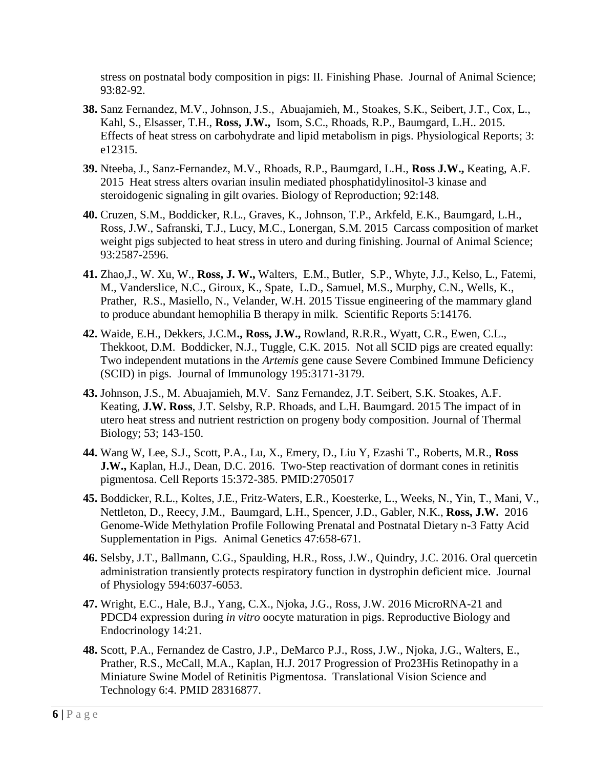stress on postnatal body composition in pigs: II. Finishing Phase. Journal of Animal Science; 93:82-92.

- **38.** Sanz Fernandez, M.V., Johnson, J.S., Abuajamieh, M., Stoakes, S.K., Seibert, J.T., Cox, L., Kahl, S., Elsasser, T.H., **Ross, J.W.,** Isom, S.C., Rhoads, R.P., Baumgard, L.H.. 2015. Effects of heat stress on carbohydrate and lipid metabolism in pigs. Physiological Reports; 3: e12315.
- **39.** Nteeba, J., Sanz-Fernandez, M.V., Rhoads, R.P., Baumgard, L.H., **Ross J.W.,** Keating, A.F. 2015 Heat stress alters ovarian insulin mediated phosphatidylinositol-3 kinase and steroidogenic signaling in gilt ovaries. Biology of Reproduction; 92:148.
- **40.** Cruzen, S.M., Boddicker, R.L., Graves, K., Johnson, T.P., Arkfeld, E.K., Baumgard, L.H., Ross, J.W., Safranski, T.J., Lucy, M.C., Lonergan, S.M. 2015 Carcass composition of market weight pigs subjected to heat stress in utero and during finishing. Journal of Animal Science; 93:2587-2596.
- **41.** Zhao,J., W. Xu, W., **Ross, J. W.,** Walters, E.M., Butler, S.P., Whyte, J.J., Kelso, L., Fatemi, M., Vanderslice, N.C., Giroux, K., Spate, L.D., Samuel, M.S., Murphy, C.N., Wells, K., Prather, R.S., Masiello, N., Velander, W.H. 2015 Tissue engineering of the mammary gland to produce abundant hemophilia B therapy in milk. Scientific Reports 5:14176.
- **42.** Waide, E.H., Dekkers, J.C.M**., Ross, J.W.,** Rowland, R.R.R., Wyatt, C.R., Ewen, C.L., Thekkoot, D.M. Boddicker, N.J., Tuggle, C.K. 2015. Not all SCID pigs are created equally: Two independent mutations in the *Artemis* gene cause Severe Combined Immune Deficiency (SCID) in pigs. Journal of Immunology 195:3171-3179.
- **43.** Johnson, J.S., M. Abuajamieh, M.V. Sanz Fernandez, J.T. Seibert, S.K. Stoakes, A.F. Keating, **J.W. Ross**, J.T. Selsby, R.P. Rhoads, and L.H. Baumgard. 2015 The impact of in utero heat stress and nutrient restriction on progeny body composition. Journal of Thermal Biology; 53; 143-150.
- **44.** Wang W, Lee, S.J., Scott, P.A., Lu, X., Emery, D., Liu Y, Ezashi T., Roberts, M.R., **Ross J.W.,** Kaplan, H.J., Dean, D.C. 2016. Two-Step reactivation of dormant cones in retinitis pigmentosa. Cell Reports 15:372-385. PMID:2705017
- **45.** Boddicker, R.L., Koltes, J.E., Fritz-Waters, E.R., Koesterke, L., Weeks, N., Yin, T., Mani, V., Nettleton, D., Reecy, J.M., Baumgard, L.H., Spencer, J.D., Gabler, N.K., **Ross, J.W.** 2016 Genome-Wide Methylation Profile Following Prenatal and Postnatal Dietary n-3 Fatty Acid Supplementation in Pigs.Animal Genetics 47:658-671.
- **46.** Selsby, J.T., Ballmann, C.G., Spaulding, H.R., Ross, J.W., Quindry, J.C. 2016. Oral quercetin administration transiently protects respiratory function in dystrophin deficient mice. Journal of Physiology 594:6037-6053.
- **47.** Wright, E.C., Hale, B.J., Yang, C.X., Njoka, J.G., Ross, J.W. 2016 MicroRNA-21 and PDCD4 expression during *in vitro* oocyte maturation in pigs. Reproductive Biology and Endocrinology 14:21.
- **48.** Scott, P.A., Fernandez de Castro, J.P., DeMarco P.J., Ross, J.W., Njoka, J.G., Walters, E., Prather, R.S., McCall, M.A., Kaplan, H.J. 2017 Progression of Pro23His Retinopathy in a Miniature Swine Model of Retinitis Pigmentosa. Translational Vision Science and Technology 6:4. PMID 28316877.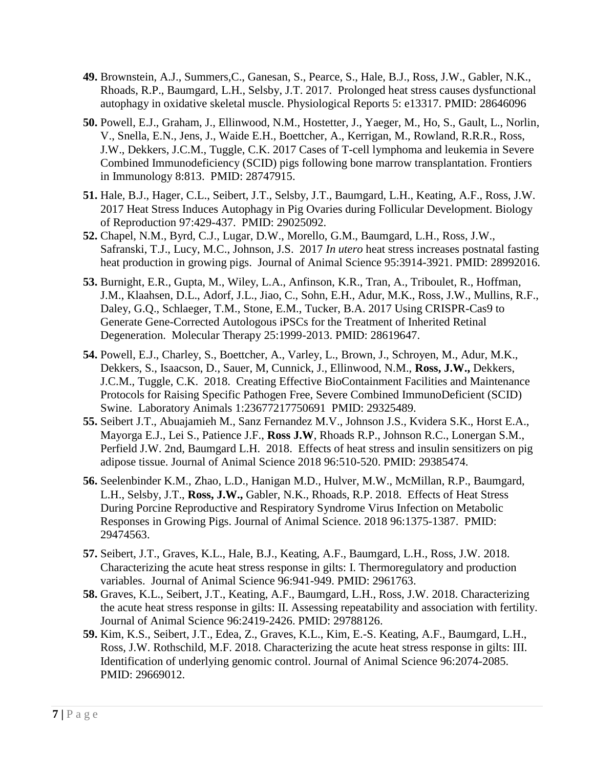- **49.** Brownstein, A.J., Summers,C., Ganesan, S., Pearce, S., Hale, B.J., Ross, J.W., Gabler, N.K., Rhoads, R.P., Baumgard, L.H., Selsby, J.T. 2017. Prolonged heat stress causes dysfunctional autophagy in oxidative skeletal muscle. Physiological Reports 5: e13317. PMID: 28646096
- **50.** Powell, E.J., Graham, J., Ellinwood, N.M., Hostetter, J., Yaeger, M., Ho, S., Gault, L., Norlin, V., Snella, E.N., Jens, J., Waide E.H., Boettcher, A., Kerrigan, M., Rowland, R.R.R., Ross, J.W., Dekkers, J.C.M., Tuggle, C.K. 2017 Cases of T-cell lymphoma and leukemia in Severe Combined Immunodeficiency (SCID) pigs following bone marrow transplantation. Frontiers in Immunology 8:813. PMID: 28747915.
- **51.** Hale, B.J., Hager, C.L., Seibert, J.T., Selsby, J.T., Baumgard, L.H., Keating, A.F., Ross, J.W. 2017 Heat Stress Induces Autophagy in Pig Ovaries during Follicular Development. Biology of Reproduction 97:429-437. PMID: 29025092.
- **52.** Chapel, N.M., Byrd, C.J., Lugar, D.W., Morello, G.M., Baumgard, L.H., Ross, J.W., Safranski, T.J., Lucy, M.C., Johnson, J.S. 2017 *In utero* heat stress increases postnatal fasting heat production in growing pigs. Journal of Animal Science 95:3914-3921. PMID: 28992016.
- **53.** Burnight, E.R., Gupta, M., Wiley, L.A., Anfinson, K.R., Tran, A., Triboulet, R., Hoffman, J.M., Klaahsen, D.L., Adorf, J.L., Jiao, C., Sohn, E.H., Adur, M.K., Ross, J.W., Mullins, R.F., Daley, G.Q., Schlaeger, T.M., Stone, E.M., Tucker, B.A. 2017 Using CRISPR-Cas9 to Generate Gene-Corrected Autologous iPSCs for the Treatment of Inherited Retinal Degeneration. Molecular Therapy 25:1999-2013. PMID: 28619647.
- **54.** Powell, E.J., Charley, S., Boettcher, A., Varley, L., Brown, J., Schroyen, M., Adur, M.K., Dekkers, S., Isaacson, D., Sauer, M, Cunnick, J., Ellinwood, N.M., **Ross, J.W.,** Dekkers, J.C.M., Tuggle, C.K. 2018. Creating Effective BioContainment Facilities and Maintenance Protocols for Raising Specific Pathogen Free, Severe Combined ImmunoDeficient (SCID) Swine. Laboratory Animals 1:23677217750691 PMID: 29325489.
- **55.** Seibert J.T., Abuajamieh M., Sanz Fernandez M.V., Johnson J.S., Kvidera S.K., Horst E.A., Mayorga E.J., Lei S., Patience J.F., **Ross J.W**, Rhoads R.P., Johnson R.C., Lonergan S.M., Perfield J.W. 2nd, Baumgard L.H. 2018. Effects of heat stress and insulin sensitizers on pig adipose tissue. Journal of Animal Science 2018 96:510-520. PMID: 29385474.
- **56.** Seelenbinder K.M., Zhao, L.D., Hanigan M.D., Hulver, M.W., McMillan, R.P., Baumgard, L.H., Selsby, J.T., **Ross, J.W.,** Gabler, N.K., Rhoads, R.P. 2018. Effects of Heat Stress During Porcine Reproductive and Respiratory Syndrome Virus Infection on Metabolic Responses in Growing Pigs. Journal of Animal Science. 2018 96:1375-1387. PMID: 29474563.
- **57.** Seibert, J.T., Graves, K.L., Hale, B.J., Keating, A.F., Baumgard, L.H., Ross, J.W. 2018. Characterizing the acute heat stress response in gilts: I. Thermoregulatory and production variables. Journal of Animal Science 96:941-949. PMID: 2961763.
- **58.** Graves, K.L., Seibert, J.T., Keating, A.F., Baumgard, L.H., Ross, J.W. 2018. Characterizing the acute heat stress response in gilts: II. Assessing repeatability and association with fertility. Journal of Animal Science 96:2419-2426. PMID: 29788126.
- **59.** Kim, K.S., Seibert, J.T., Edea, Z., Graves, K.L., Kim, E.-S. Keating, A.F., Baumgard, L.H., Ross, J.W. Rothschild, M.F. 2018. Characterizing the acute heat stress response in gilts: III. Identification of underlying genomic control. Journal of Animal Science 96:2074-2085. PMID: 29669012.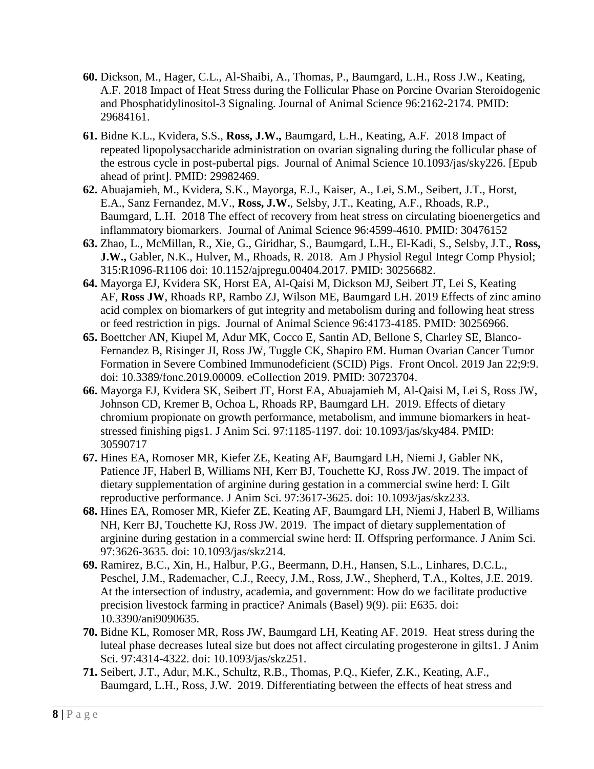- **60.** Dickson, M., Hager, C.L., Al-Shaibi, A., Thomas, P., Baumgard, L.H., Ross J.W., Keating, A.F. 2018 Impact of Heat Stress during the Follicular Phase on Porcine Ovarian Steroidogenic and Phosphatidylinositol-3 Signaling. Journal of Animal Science 96:2162-2174. PMID: 29684161.
- **61.** Bidne K.L., Kvidera, S.S., **Ross, J.W.,** Baumgard, L.H., Keating, A.F. 2018 Impact of repeated lipopolysaccharide administration on ovarian signaling during the follicular phase of the estrous cycle in post-pubertal pigs. Journal of Animal Science 10.1093/jas/sky226. [Epub ahead of print]. PMID: 29982469.
- **62.** Abuajamieh, M., Kvidera, S.K., Mayorga, E.J., Kaiser, A., Lei, S.M., Seibert, J.T., Horst, E.A., Sanz Fernandez, M.V., **Ross, J.W.**, Selsby, J.T., Keating, A.F., Rhoads, R.P., Baumgard, L.H. 2018 The effect of recovery from heat stress on circulating bioenergetics and inflammatory biomarkers. Journal of Animal Science 96:4599-4610. PMID: 30476152
- **63.** Zhao, L., McMillan, R., Xie, G., Giridhar, S., Baumgard, L.H., El-Kadi, S., Selsby, J.T., **Ross, J.W.,** Gabler, N.K., Hulver, M., Rhoads, R. 2018. Am J Physiol Regul Integr Comp Physiol; 315:R1096-R1106 doi: 10.1152/ajpregu.00404.2017. PMID: 30256682.
- **64.** Mayorga EJ, Kvidera SK, Horst EA, Al-Qaisi M, Dickson MJ, Seibert JT, Lei S, Keating AF, **Ross JW**, Rhoads RP, Rambo ZJ, Wilson ME, Baumgard LH. 2019 Effects of zinc amino acid complex on biomarkers of gut integrity and metabolism during and following heat stress or feed restriction in pigs. Journal of Animal Science 96:4173-4185. PMID: 30256966.
- **65.** Boettcher AN, Kiupel M, Adur MK, Cocco E, Santin AD, Bellone S, Charley SE, Blanco-Fernandez B, Risinger JI, Ross JW, Tuggle CK, Shapiro EM. Human Ovarian Cancer Tumor Formation in Severe Combined Immunodeficient (SCID) Pigs. Front Oncol. 2019 Jan 22;9:9. doi: 10.3389/fonc.2019.00009. eCollection 2019. PMID: 30723704.
- **66.** Mayorga EJ, Kvidera SK, Seibert JT, Horst EA, Abuajamieh M, Al-Qaisi M, Lei S, Ross JW, Johnson CD, Kremer B, Ochoa L, Rhoads RP, Baumgard LH. 2019. Effects of dietary chromium propionate on growth performance, metabolism, and immune biomarkers in heatstressed finishing pigs1. J Anim Sci. 97:1185-1197. doi: 10.1093/jas/sky484. PMID: 30590717
- **67.** Hines EA, Romoser MR, Kiefer ZE, Keating AF, Baumgard LH, Niemi J, Gabler NK, Patience JF, Haberl B, Williams NH, Kerr BJ, Touchette KJ, Ross JW. 2019. The impact of dietary supplementation of arginine during gestation in a commercial swine herd: I. Gilt reproductive performance. J Anim Sci. 97:3617-3625. doi: 10.1093/jas/skz233.
- **68.** Hines EA, Romoser MR, Kiefer ZE, Keating AF, Baumgard LH, Niemi J, Haberl B, Williams NH, Kerr BJ, Touchette KJ, Ross JW. 2019. The impact of dietary supplementation of arginine during gestation in a commercial swine herd: II. Offspring performance. J Anim Sci. 97:3626-3635. doi: 10.1093/jas/skz214.
- **69.** Ramirez, B.C., Xin, H., Halbur, P.G., Beermann, D.H., Hansen, S.L., Linhares, D.C.L., Peschel, J.M., Rademacher, C.J., Reecy, J.M., Ross, J.W., Shepherd, T.A., Koltes, J.E. 2019. At the intersection of industry, academia, and government: How do we facilitate productive precision livestock farming in practice? Animals (Basel) 9(9). pii: E635. doi: 10.3390/ani9090635.
- **70.** Bidne KL, Romoser MR, Ross JW, Baumgard LH, Keating AF. 2019. Heat stress during the luteal phase decreases luteal size but does not affect circulating progesterone in gilts1. J Anim Sci. 97:4314-4322. doi: 10.1093/jas/skz251.
- **71.** Seibert, J.T., Adur, M.K., Schultz, R.B., Thomas, P.Q., Kiefer, Z.K., Keating, A.F., Baumgard, L.H., Ross, J.W. 2019. Differentiating between the effects of heat stress and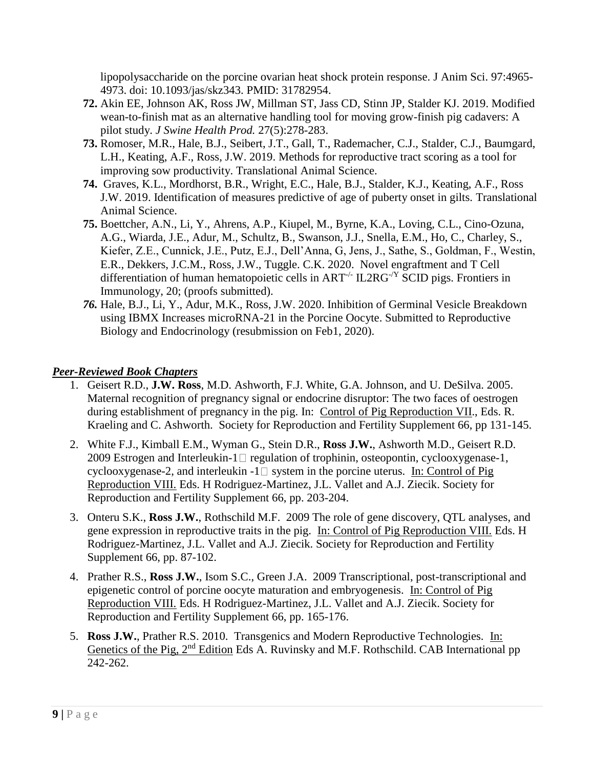lipopolysaccharide on the porcine ovarian heat shock protein response. J Anim Sci. 97:4965- 4973. doi: 10.1093/jas/skz343. PMID: 31782954.

- **72.** Akin EE, Johnson AK, Ross JW, Millman ST, Jass CD, Stinn JP, Stalder KJ. 2019. Modified wean-to-finish mat as an alternative handling tool for moving grow-finish pig cadavers: A pilot study. *J Swine Health Prod.* 27(5):278-283.
- **73.** Romoser, M.R., Hale, B.J., Seibert, J.T., Gall, T., Rademacher, C.J., Stalder, C.J., Baumgard, L.H., Keating, A.F., Ross, J.W. 2019. Methods for reproductive tract scoring as a tool for improving sow productivity. Translational Animal Science.
- **74.** Graves, K.L., Mordhorst, B.R., Wright, E.C., Hale, B.J., Stalder, K.J., Keating, A.F., Ross J.W. 2019. Identification of measures predictive of age of puberty onset in gilts. Translational Animal Science.
- **75.** Boettcher, A.N., Li, Y., Ahrens, A.P., Kiupel, M., Byrne, K.A., Loving, C.L., Cino-Ozuna, A.G., Wiarda, J.E., Adur, M., Schultz, B., Swanson, J.J., Snella, E.M., Ho, C., Charley, S., Kiefer, Z.E., Cunnick, J.E., Putz, E.J., Dell'Anna, G, Jens, J., Sathe, S., Goldman, F., Westin, E.R., Dekkers, J.C.M., Ross, J.W., Tuggle. C.K. 2020. Novel engraftment and T Cell differentiation of human hematopoietic cells in  $ART^{-/-}$  IL2RG $^{-/Y}$  SCID pigs. Frontiers in Immunology, 20; (proofs submitted).
- *76.* Hale, B.J., Li, Y., Adur, M.K., Ross, J.W. 2020. Inhibition of Germinal Vesicle Breakdown using IBMX Increases microRNA-21 in the Porcine Oocyte. Submitted to Reproductive Biology and Endocrinology (resubmission on Feb1, 2020).

# *Peer-Reviewed Book Chapters*

- 1. Geisert R.D., **J.W. Ross**, M.D. Ashworth, F.J. White, G.A. Johnson, and U. DeSilva. 2005. Maternal recognition of pregnancy signal or endocrine disruptor: The two faces of oestrogen during establishment of pregnancy in the pig. In: Control of Pig Reproduction VII., Eds. R. Kraeling and C. Ashworth. Society for Reproduction and Fertility Supplement 66, pp 131-145.
- 2. White F.J., Kimball E.M., Wyman G., Stein D.R., **Ross J.W.**, Ashworth M.D., Geisert R.D. 2009 Estrogen and Interleukin-1 $\Box$  regulation of trophinin, osteopontin, cyclooxygenase-1, cyclooxygenase-2, and interleukin  $-1 \Box$  system in the porcine uterus. In: Control of Pig Reproduction VIII. Eds. H Rodriguez-Martinez, J.L. Vallet and A.J. Ziecik. Society for Reproduction and Fertility Supplement 66, pp. 203-204.
- 3. Onteru S.K., **Ross J.W.**, Rothschild M.F. 2009 The role of gene discovery, QTL analyses, and gene expression in reproductive traits in the pig. In: Control of Pig Reproduction VIII. Eds. H Rodriguez-Martinez, J.L. Vallet and A.J. Ziecik. Society for Reproduction and Fertility Supplement 66, pp. 87-102.
- 4. Prather R.S., **Ross J.W.**, Isom S.C., Green J.A. 2009 Transcriptional, post-transcriptional and epigenetic control of porcine oocyte maturation and embryogenesis. In: Control of Pig Reproduction VIII. Eds. H Rodriguez-Martinez, J.L. Vallet and A.J. Ziecik. Society for Reproduction and Fertility Supplement 66, pp. 165-176.
- 5. **Ross J.W.**, Prather R.S. 2010. Transgenics and Modern Reproductive Technologies. In: Genetics of the Pig, 2<sup>nd</sup> Edition Eds A. Ruvinsky and M.F. Rothschild. CAB International pp 242-262.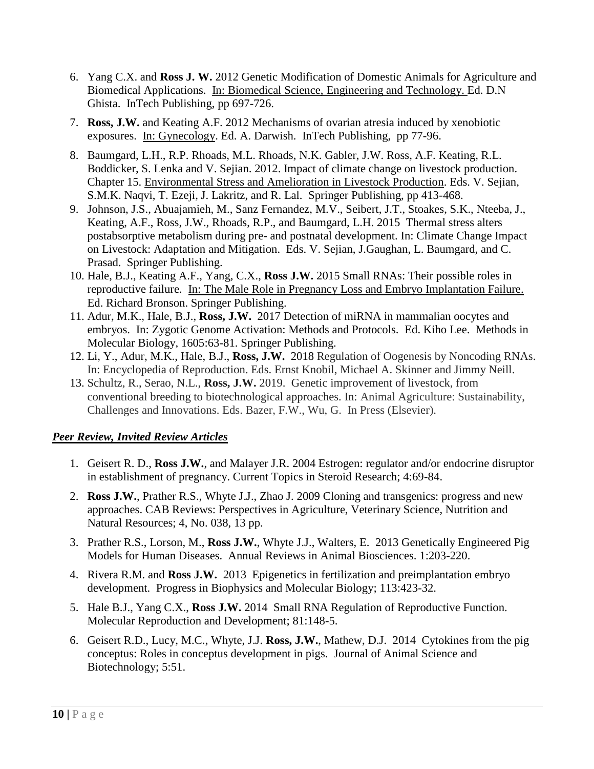- 6. Yang C.X. and **Ross J. W.** 2012 Genetic Modification of Domestic Animals for Agriculture and Biomedical Applications. In: Biomedical Science, Engineering and Technology. Ed. D.N Ghista. InTech Publishing, pp 697-726.
- 7. **Ross, J.W.** and Keating A.F. 2012 Mechanisms of ovarian atresia induced by xenobiotic exposures. In: Gynecology. Ed. A. Darwish. InTech Publishing, pp 77-96.
- 8. Baumgard, L.H., R.P. Rhoads, M.L. Rhoads, N.K. Gabler, J.W. Ross, A.F. Keating, R.L. Boddicker, S. Lenka and V. Sejian. 2012. Impact of climate change on livestock production. Chapter 15. Environmental Stress and Amelioration in Livestock Production. Eds. V. Sejian, S.M.K. Naqvi, T. Ezeji, J. Lakritz, and R. Lal. Springer Publishing, pp 413-468.
- 9. Johnson, J.S., Abuajamieh, M., Sanz Fernandez, M.V., Seibert, J.T., Stoakes, S.K., Nteeba, J., Keating, A.F., Ross, J.W., Rhoads, R.P., and Baumgard, L.H. 2015 Thermal stress alters postabsorptive metabolism during pre- and postnatal development. In: Climate Change Impact on Livestock: Adaptation and Mitigation. Eds. V. Sejian, J.Gaughan, L. Baumgard, and C. Prasad. Springer Publishing.
- 10. Hale, B.J., Keating A.F., Yang, C.X., **Ross J.W.** 2015 Small RNAs: Their possible roles in reproductive failure. In: The Male Role in Pregnancy Loss and Embryo Implantation Failure. Ed. Richard Bronson. Springer Publishing.
- 11. Adur, M.K., Hale, B.J., **Ross, J.W.** 2017 Detection of miRNA in mammalian oocytes and embryos. In: Zygotic Genome Activation: Methods and Protocols. Ed. Kiho Lee. Methods in Molecular Biology, 1605:63-81. Springer Publishing.
- 12. Li, Y., Adur, M.K., Hale, B.J., **Ross, J.W.** 2018 Regulation of Oogenesis by Noncoding RNAs. In: Encyclopedia of Reproduction. Eds. Ernst Knobil, Michael A. Skinner and Jimmy Neill.
- 13. Schultz, R., Serao, N.L., **Ross, J.W.** 2019. Genetic improvement of livestock, from conventional breeding to biotechnological approaches. In: Animal Agriculture: Sustainability, Challenges and Innovations. Eds. Bazer, F.W., Wu, G. In Press (Elsevier).

# *Peer Review, Invited Review Articles*

- 1. Geisert R. D., **Ross J.W.**, and Malayer J.R. 2004 Estrogen: regulator and/or endocrine disruptor in establishment of pregnancy. Current Topics in Steroid Research; 4:69-84.
- 2. **Ross J.W.**, Prather R.S., Whyte J.J., Zhao J. 2009 Cloning and transgenics: progress and new approaches. CAB Reviews: Perspectives in Agriculture, Veterinary Science, Nutrition and Natural Resources; 4, No. 038, 13 pp.
- 3. Prather R.S., Lorson, M., **Ross J.W.**, Whyte J.J., Walters, E. 2013 Genetically Engineered Pig Models for Human Diseases. Annual Reviews in Animal Biosciences. 1:203-220.
- 4. Rivera R.M. and **Ross J.W.** 2013 Epigenetics in fertilization and preimplantation embryo development. Progress in Biophysics and Molecular Biology; 113:423-32.
- 5. Hale B.J., Yang C.X., **Ross J.W.** 2014 Small RNA Regulation of Reproductive Function. Molecular Reproduction and Development; 81:148-5.
- 6. Geisert R.D., Lucy, M.C., Whyte, J.J. **Ross, J.W.**, Mathew, D.J. 2014 Cytokines from the pig conceptus: Roles in conceptus development in pigs. Journal of Animal Science and Biotechnology; 5:51.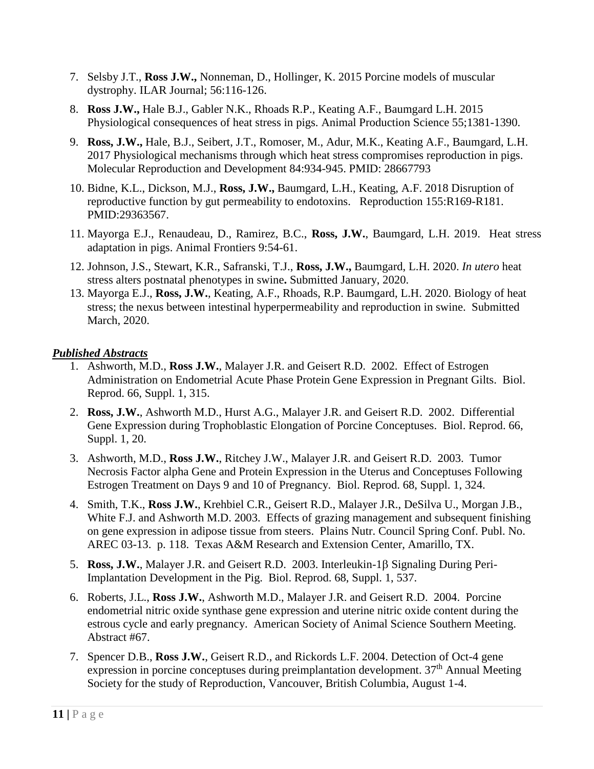- 7. Selsby J.T., **Ross J.W.,** Nonneman, D., Hollinger, K. 2015 Porcine models of muscular dystrophy. ILAR Journal; 56:116-126.
- 8. **Ross J.W.,** Hale B.J., Gabler N.K., Rhoads R.P., Keating A.F., Baumgard L.H. 2015 Physiological consequences of heat stress in pigs. Animal Production Science 55;1381-1390.
- 9. **Ross, J.W.,** Hale, B.J., Seibert, J.T., Romoser, M., Adur, M.K., Keating A.F., Baumgard, L.H. 2017 Physiological mechanisms through which heat stress compromises reproduction in pigs. Molecular Reproduction and Development 84:934-945. PMID: 28667793
- 10. Bidne, K.L., Dickson, M.J., **Ross, J.W.,** Baumgard, L.H., Keating, A.F. 2018 Disruption of reproductive function by gut permeability to endotoxins. Reproduction 155:R169-R181. PMID:29363567.
- 11. Mayorga E.J., Renaudeau, D., Ramirez, B.C., **Ross, J.W.**, Baumgard, L.H. 2019. Heat stress adaptation in pigs. Animal Frontiers 9:54-61.
- 12. Johnson, J.S., Stewart, K.R., Safranski, T.J., **Ross, J.W.,** Baumgard, L.H. 2020. *In utero* heat stress alters postnatal phenotypes in swine**.** Submitted January, 2020.
- 13. Mayorga E.J., **Ross, J.W.**, Keating, A.F., Rhoads, R.P. Baumgard, L.H. 2020. Biology of heat stress; the nexus between intestinal hyperpermeability and reproduction in swine. Submitted March, 2020.

### *Published Abstracts*

- 1. Ashworth, M.D., **Ross J.W.**, Malayer J.R. and Geisert R.D. 2002. Effect of Estrogen Administration on Endometrial Acute Phase Protein Gene Expression in Pregnant Gilts. Biol. Reprod. 66, Suppl. 1, 315.
- 2. **Ross, J.W.**, Ashworth M.D., Hurst A.G., Malayer J.R. and Geisert R.D. 2002. Differential Gene Expression during Trophoblastic Elongation of Porcine Conceptuses. Biol. Reprod. 66, Suppl. 1, 20.
- 3. Ashworth, M.D., **Ross J.W.**, Ritchey J.W., Malayer J.R. and Geisert R.D. 2003. Tumor Necrosis Factor alpha Gene and Protein Expression in the Uterus and Conceptuses Following Estrogen Treatment on Days 9 and 10 of Pregnancy. Biol. Reprod. 68, Suppl. 1, 324.
- 4. Smith, T.K., **Ross J.W.**, Krehbiel C.R., Geisert R.D., Malayer J.R., DeSilva U., Morgan J.B., White F.J. and Ashworth M.D. 2003. Effects of grazing management and subsequent finishing on gene expression in adipose tissue from steers. Plains Nutr. Council Spring Conf. Publ. No. AREC 03-13. p. 118. Texas A&M Research and Extension Center, Amarillo, TX.
- 5. Ross, J.W., Malayer J.R. and Geisert R.D. 2003. Interleukin-1 $\beta$  Signaling During Peri-Implantation Development in the Pig. Biol. Reprod. 68, Suppl. 1, 537.
- 6. Roberts, J.L., **Ross J.W.**, Ashworth M.D., Malayer J.R. and Geisert R.D. 2004. Porcine endometrial nitric oxide synthase gene expression and uterine nitric oxide content during the estrous cycle and early pregnancy. American Society of Animal Science Southern Meeting. Abstract #67.
- 7. Spencer D.B., **Ross J.W.**, Geisert R.D., and Rickords L.F. 2004. Detection of Oct-4 gene expression in porcine conceptuses during preimplantation development.  $37<sup>th</sup>$  Annual Meeting Society for the study of Reproduction, Vancouver, British Columbia, August 1-4.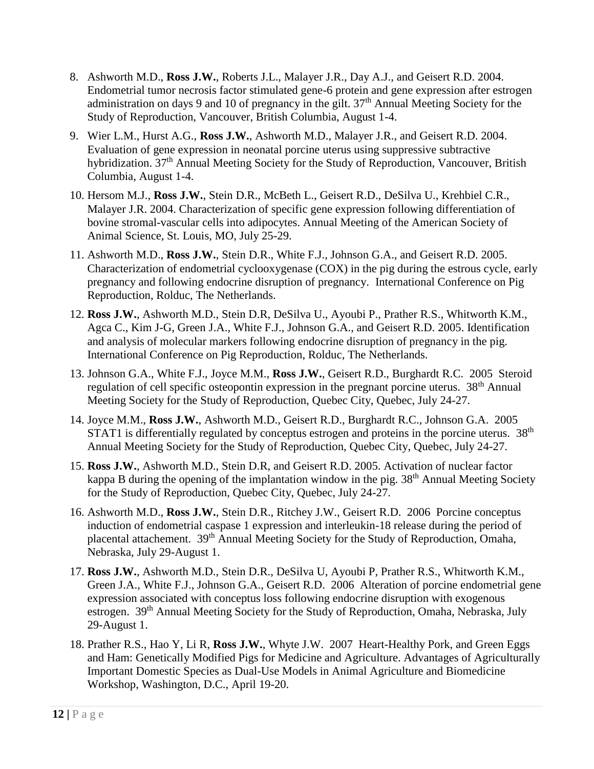- 8. Ashworth M.D., **Ross J.W.**, Roberts J.L., Malayer J.R., Day A.J., and Geisert R.D. 2004. Endometrial tumor necrosis factor stimulated gene-6 protein and gene expression after estrogen administration on days 9 and 10 of pregnancy in the gilt. 37<sup>th</sup> Annual Meeting Society for the Study of Reproduction, Vancouver, British Columbia, August 1-4.
- 9. Wier L.M., Hurst A.G., **Ross J.W.**, Ashworth M.D., Malayer J.R., and Geisert R.D. 2004. Evaluation of gene expression in neonatal porcine uterus using suppressive subtractive hybridization. 37<sup>th</sup> Annual Meeting Society for the Study of Reproduction, Vancouver, British Columbia, August 1-4.
- 10. Hersom M.J., **Ross J.W.**, Stein D.R., McBeth L., Geisert R.D., DeSilva U., Krehbiel C.R., Malayer J.R. 2004. Characterization of specific gene expression following differentiation of bovine stromal-vascular cells into adipocytes. Annual Meeting of the American Society of Animal Science, St. Louis, MO, July 25-29.
- 11. Ashworth M.D., **Ross J.W.**, Stein D.R., White F.J., Johnson G.A., and Geisert R.D. 2005. Characterization of endometrial cyclooxygenase (COX) in the pig during the estrous cycle, early pregnancy and following endocrine disruption of pregnancy. International Conference on Pig Reproduction, Rolduc, The Netherlands.
- 12. **Ross J.W.**, Ashworth M.D., Stein D.R, DeSilva U., Ayoubi P., Prather R.S., Whitworth K.M., Agca C., Kim J-G, Green J.A., White F.J., Johnson G.A., and Geisert R.D. 2005. Identification and analysis of molecular markers following endocrine disruption of pregnancy in the pig. International Conference on Pig Reproduction, Rolduc, The Netherlands.
- 13. Johnson G.A., White F.J., Joyce M.M., **Ross J.W.**, Geisert R.D., Burghardt R.C. 2005 Steroid regulation of cell specific osteopontin expression in the pregnant porcine uterus. 38<sup>th</sup> Annual Meeting Society for the Study of Reproduction, Quebec City, Quebec, July 24-27.
- 14. Joyce M.M., **Ross J.W.**, Ashworth M.D., Geisert R.D., Burghardt R.C., Johnson G.A. 2005 STAT1 is differentially regulated by conceptus estrogen and proteins in the porcine uterus.  $38<sup>th</sup>$ Annual Meeting Society for the Study of Reproduction, Quebec City, Quebec, July 24-27.
- 15. **Ross J.W.**, Ashworth M.D., Stein D.R, and Geisert R.D. 2005. Activation of nuclear factor kappa B during the opening of the implantation window in the pig. 38<sup>th</sup> Annual Meeting Society for the Study of Reproduction, Quebec City, Quebec, July 24-27.
- 16. Ashworth M.D., **Ross J.W.**, Stein D.R., Ritchey J.W., Geisert R.D. 2006 Porcine conceptus induction of endometrial caspase 1 expression and interleukin-18 release during the period of placental attachement. 39<sup>th</sup> Annual Meeting Society for the Study of Reproduction, Omaha, Nebraska, July 29-August 1.
- 17. **Ross J.W.**, Ashworth M.D., Stein D.R., DeSilva U, Ayoubi P, Prather R.S., Whitworth K.M., Green J.A., White F.J., Johnson G.A., Geisert R.D. 2006 Alteration of porcine endometrial gene expression associated with conceptus loss following endocrine disruption with exogenous estrogen. 39<sup>th</sup> Annual Meeting Society for the Study of Reproduction, Omaha, Nebraska, July 29-August 1.
- 18. Prather R.S., Hao Y, Li R, **Ross J.W.**, Whyte J.W. 2007 Heart-Healthy Pork, and Green Eggs and Ham: Genetically Modified Pigs for Medicine and Agriculture. Advantages of Agriculturally Important Domestic Species as Dual-Use Models in Animal Agriculture and Biomedicine Workshop, Washington, D.C., April 19-20.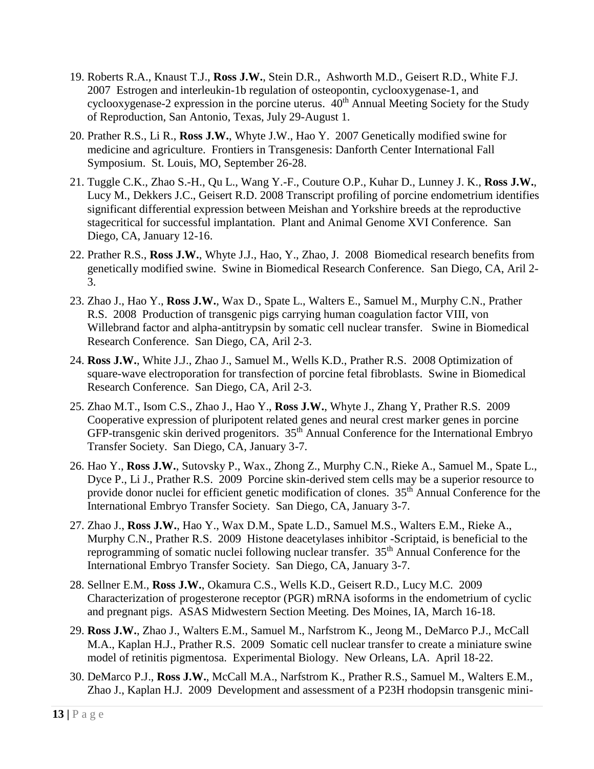- 19. Roberts R.A., Knaust T.J., **Ross J.W.**, Stein D.R., Ashworth M.D., Geisert R.D., White F.J. 2007 Estrogen and interleukin-1b regulation of osteopontin, cyclooxygenase-1, and cyclooxygenase-2 expression in the porcine uterus.  $40^{th}$  Annual Meeting Society for the Study of Reproduction, San Antonio, Texas, July 29-August 1.
- 20. Prather R.S., Li R., **Ross J.W.**, Whyte J.W., Hao Y. 2007 Genetically modified swine for medicine and agriculture. Frontiers in Transgenesis: Danforth Center International Fall Symposium. St. Louis, MO, September 26-28.
- 21. Tuggle C.K., Zhao S.-H., Qu L., Wang Y.-F., Couture O.P., Kuhar D., Lunney J. K., **Ross J.W.**, Lucy M., Dekkers J.C., Geisert R.D. 2008 Transcript profiling of porcine endometrium identifies significant differential expression between Meishan and Yorkshire breeds at the reproductive stagecritical for successful implantation. Plant and Animal Genome XVI Conference. San Diego, CA, January 12-16.
- 22. Prather R.S., **Ross J.W.**, Whyte J.J., Hao, Y., Zhao, J. 2008 Biomedical research benefits from genetically modified swine. Swine in Biomedical Research Conference. San Diego, CA, Aril 2- 3.
- 23. Zhao J., Hao Y., **Ross J.W.**, Wax D., Spate L., Walters E., Samuel M., Murphy C.N., Prather R.S. 2008 Production of transgenic pigs carrying human coagulation factor VIII, von Willebrand factor and alpha-antitrypsin by somatic cell nuclear transfer. Swine in Biomedical Research Conference. San Diego, CA, Aril 2-3.
- 24. **Ross J.W.**, White J.J., Zhao J., Samuel M., Wells K.D., Prather R.S. 2008 Optimization of square-wave electroporation for transfection of porcine fetal fibroblasts. Swine in Biomedical Research Conference. San Diego, CA, Aril 2-3.
- 25. Zhao M.T., Isom C.S., Zhao J., Hao Y., **Ross J.W.**, Whyte J., Zhang Y, Prather R.S. 2009 Cooperative expression of pluripotent related genes and neural crest marker genes in porcine GFP-transgenic skin derived progenitors. 35<sup>th</sup> Annual Conference for the International Embryo Transfer Society. San Diego, CA, January 3-7.
- 26. Hao Y., **Ross J.W.**, Sutovsky P., Wax., Zhong Z., Murphy C.N., Rieke A., Samuel M., Spate L., Dyce P., Li J., Prather R.S. 2009 Porcine skin-derived stem cells may be a superior resource to provide donor nuclei for efficient genetic modification of clones.  $35<sup>th</sup>$  Annual Conference for the International Embryo Transfer Society. San Diego, CA, January 3-7.
- 27. Zhao J., **Ross J.W.**, Hao Y., Wax D.M., Spate L.D., Samuel M.S., Walters E.M., Rieke A., Murphy C.N., Prather R.S. 2009 Histone deacetylases inhibitor -Scriptaid, is beneficial to the reprogramming of somatic nuclei following nuclear transfer. 35<sup>th</sup> Annual Conference for the International Embryo Transfer Society. San Diego, CA, January 3-7.
- 28. Sellner E.M., **Ross J.W.**, Okamura C.S., Wells K.D., Geisert R.D., Lucy M.C. 2009 Characterization of progesterone receptor (PGR) mRNA isoforms in the endometrium of cyclic and pregnant pigs. ASAS Midwestern Section Meeting. Des Moines, IA, March 16-18.
- 29. **Ross J.W.**, Zhao J., Walters E.M., Samuel M., Narfstrom K., Jeong M., DeMarco P.J., McCall M.A., Kaplan H.J., Prather R.S. 2009 Somatic cell nuclear transfer to create a miniature swine model of retinitis pigmentosa. Experimental Biology. New Orleans, LA. April 18-22.
- 30. DeMarco P.J., **Ross J.W.**, McCall M.A., Narfstrom K., Prather R.S., Samuel M., Walters E.M., Zhao J., Kaplan H.J. 2009 Development and assessment of a P23H rhodopsin transgenic mini-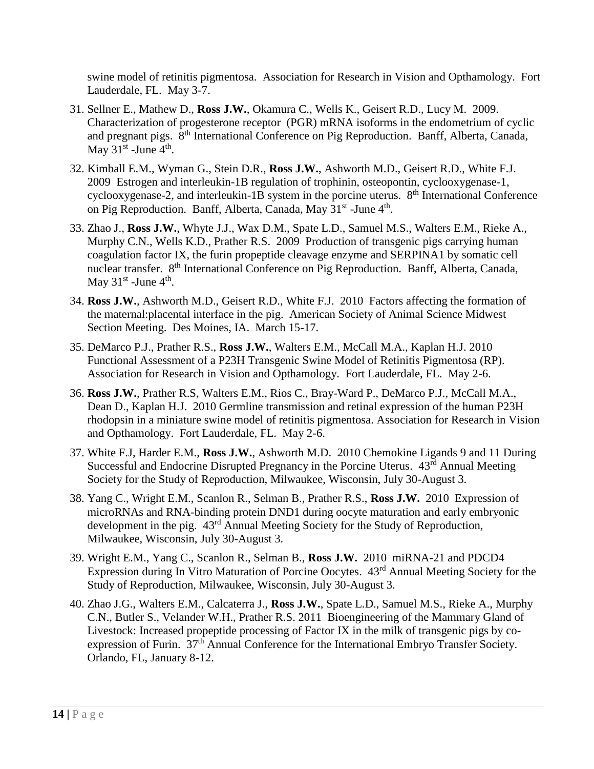swine model of retinitis pigmentosa. Association for Research in Vision and Opthamology. Fort Lauderdale, FL. May 3-7.

- 31. Sellner E., Mathew D., **Ross J.W.**, Okamura C., Wells K., Geisert R.D., Lucy M. 2009. Characterization of progesterone receptor (PGR) mRNA isoforms in the endometrium of cyclic and pregnant pigs. 8<sup>th</sup> International Conference on Pig Reproduction. Banff, Alberta, Canada, May  $31<sup>st</sup>$  -June  $4<sup>th</sup>$ .
- 32. Kimball E.M., Wyman G., Stein D.R., **Ross J.W.**, Ashworth M.D., Geisert R.D., White F.J. 2009 Estrogen and interleukin-1B regulation of trophinin, osteopontin, cyclooxygenase-1, cyclooxygenase-2, and interleukin-1B system in the porcine uterus.  $8<sup>th</sup>$  International Conference on Pig Reproduction. Banff, Alberta, Canada, May 31<sup>st</sup> -June 4<sup>th</sup>.
- 33. Zhao J., **Ross J.W.**, Whyte J.J., Wax D.M., Spate L.D., Samuel M.S., Walters E.M., Rieke A., Murphy C.N., Wells K.D., Prather R.S. 2009 Production of transgenic pigs carrying human coagulation factor IX, the furin propeptide cleavage enzyme and SERPINA1 by somatic cell nuclear transfer. 8<sup>th</sup> International Conference on Pig Reproduction. Banff, Alberta, Canada, May  $31<sup>st</sup>$  -June  $4<sup>th</sup>$ .
- 34. **Ross J.W.**, Ashworth M.D., Geisert R.D., White F.J. 2010 Factors affecting the formation of the maternal:placental interface in the pig. American Society of Animal Science Midwest Section Meeting. Des Moines, IA. March 15-17.
- 35. DeMarco P.J., Prather R.S., **Ross J.W.**, Walters E.M., McCall M.A., Kaplan H.J. 2010 Functional Assessment of a P23H Transgenic Swine Model of Retinitis Pigmentosa (RP). Association for Research in Vision and Opthamology. Fort Lauderdale, FL. May 2-6.
- 36. **Ross J.W.**, Prather R.S, Walters E.M., Rios C., Bray-Ward P., DeMarco P.J., McCall M.A., Dean D., Kaplan H.J. 2010 Germline transmission and retinal expression of the human P23H rhodopsin in a miniature swine model of retinitis pigmentosa. Association for Research in Vision and Opthamology. Fort Lauderdale, FL. May 2-6.
- 37. White F.J, Harder E.M., **Ross J.W.**, Ashworth M.D. 2010 Chemokine Ligands 9 and 11 During Successful and Endocrine Disrupted Pregnancy in the Porcine Uterus. 43<sup>rd</sup> Annual Meeting Society for the Study of Reproduction, Milwaukee, Wisconsin, July 30-August 3.
- 38. Yang C., Wright E.M., Scanlon R., Selman B., Prather R.S., **Ross J.W.** 2010 Expression of microRNAs and RNA-binding protein DND1 during oocyte maturation and early embryonic development in the pig. 43rd Annual Meeting Society for the Study of Reproduction, Milwaukee, Wisconsin, July 30-August 3.
- 39. Wright E.M., Yang C., Scanlon R., Selman B., **Ross J.W.** 2010 miRNA-21 and PDCD4 Expression during In Vitro Maturation of Porcine Oocytes. 43rd Annual Meeting Society for the Study of Reproduction, Milwaukee, Wisconsin, July 30-August 3.
- 40. Zhao J.G., Walters E.M., Calcaterra J., **Ross J.W.**, Spate L.D., Samuel M.S., Rieke A., Murphy C.N., Butler S., Velander W.H., Prather R.S. 2011 Bioengineering of the Mammary Gland of Livestock: Increased propeptide processing of Factor IX in the milk of transgenic pigs by coexpression of Furin. 37<sup>th</sup> Annual Conference for the International Embryo Transfer Society. Orlando, FL, January 8-12.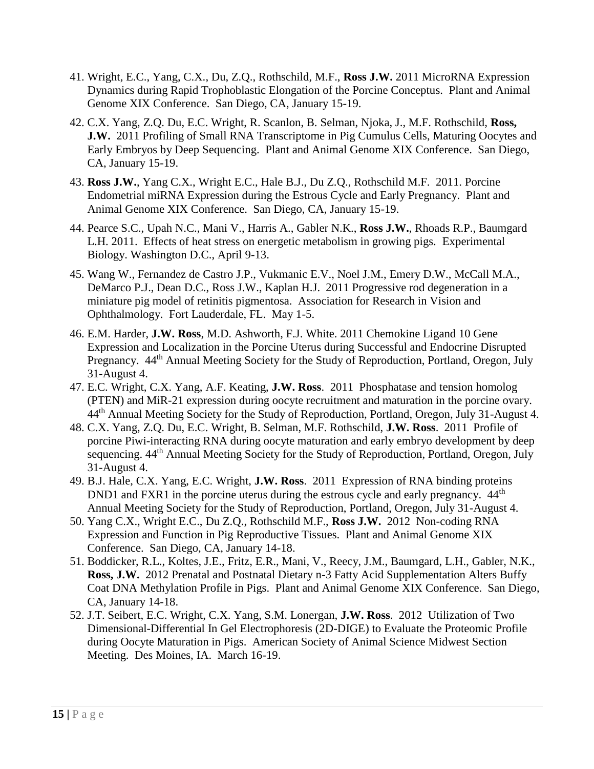- 41. Wright, E.C., Yang, C.X., Du, Z.Q., Rothschild, M.F., **Ross J.W.** 2011 MicroRNA Expression Dynamics during Rapid Trophoblastic Elongation of the Porcine Conceptus. Plant and Animal Genome XIX Conference. San Diego, CA, January 15-19.
- 42. C.X. Yang, Z.Q. Du, E.C. Wright, R. Scanlon, B. Selman, Njoka, J., M.F. Rothschild, **Ross, J.W.** 2011 Profiling of Small RNA Transcriptome in Pig Cumulus Cells, Maturing Oocytes and Early Embryos by Deep Sequencing. Plant and Animal Genome XIX Conference. San Diego, CA, January 15-19.
- 43. **Ross J.W.**, Yang C.X., Wright E.C., Hale B.J., Du Z.Q., Rothschild M.F. 2011. Porcine Endometrial miRNA Expression during the Estrous Cycle and Early Pregnancy. Plant and Animal Genome XIX Conference. San Diego, CA, January 15-19.
- 44. Pearce S.C., Upah N.C., Mani V., Harris A., Gabler N.K., **Ross J.W.**, Rhoads R.P., Baumgard L.H. 2011. Effects of heat stress on energetic metabolism in growing pigs. Experimental Biology. Washington D.C., April 9-13.
- 45. Wang W., Fernandez de Castro J.P., Vukmanic E.V., Noel J.M., Emery D.W., McCall M.A., DeMarco P.J., Dean D.C., Ross J.W., Kaplan H.J. 2011 Progressive rod degeneration in a miniature pig model of retinitis pigmentosa. Association for Research in Vision and Ophthalmology. Fort Lauderdale, FL. May 1-5.
- 46. E.M. Harder, **J.W. Ross**, M.D. Ashworth, F.J. White. 2011 Chemokine Ligand 10 Gene Expression and Localization in the Porcine Uterus during Successful and Endocrine Disrupted Pregnancy. 44<sup>th</sup> Annual Meeting Society for the Study of Reproduction, Portland, Oregon, July 31-August 4.
- 47. E.C. Wright, C.X. Yang, A.F. Keating, **J.W. Ross**. 2011 Phosphatase and tension homolog (PTEN) and MiR-21 expression during oocyte recruitment and maturation in the porcine ovary. 44<sup>th</sup> Annual Meeting Society for the Study of Reproduction, Portland, Oregon, July 31-August 4.
- 48. C.X. Yang, Z.Q. Du, E.C. Wright, B. Selman, M.F. Rothschild, **J.W. Ross**. 2011 Profile of porcine Piwi-interacting RNA during oocyte maturation and early embryo development by deep sequencing.  $44<sup>th</sup>$  Annual Meeting Society for the Study of Reproduction, Portland, Oregon, July 31-August 4.
- 49. B.J. Hale, C.X. Yang, E.C. Wright, **J.W. Ross**. 2011 Expression of RNA binding proteins DND1 and FXR1 in the porcine uterus during the estrous cycle and early pregnancy. 44<sup>th</sup> Annual Meeting Society for the Study of Reproduction, Portland, Oregon, July 31-August 4.
- 50. Yang C.X., Wright E.C., Du Z.Q., Rothschild M.F., **Ross J.W.** 2012 Non-coding RNA Expression and Function in Pig Reproductive Tissues. Plant and Animal Genome XIX Conference. San Diego, CA, January 14-18.
- 51. Boddicker, R.L., Koltes, J.E., Fritz, E.R., Mani, V., Reecy, J.M., Baumgard, L.H., Gabler, N.K., **Ross, J.W.** 2012 Prenatal and Postnatal Dietary n-3 Fatty Acid Supplementation Alters Buffy Coat DNA Methylation Profile in Pigs. Plant and Animal Genome XIX Conference. San Diego, CA, January 14-18.
- 52. J.T. Seibert, E.C. Wright, C.X. Yang, S.M. Lonergan, **J.W. Ross**. 2012 Utilization of Two Dimensional-Differential In Gel Electrophoresis (2D-DIGE) to Evaluate the Proteomic Profile during Oocyte Maturation in Pigs. American Society of Animal Science Midwest Section Meeting. Des Moines, IA. March 16-19.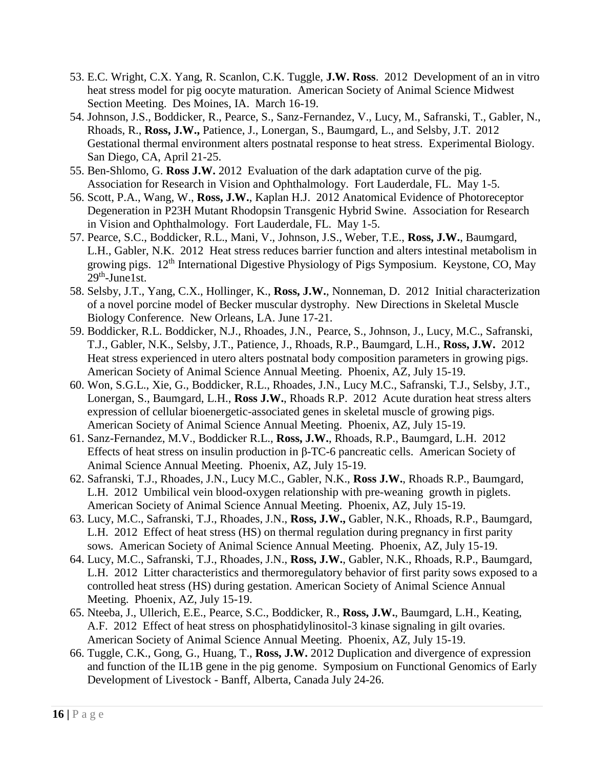- 53. E.C. Wright, C.X. Yang, R. Scanlon, C.K. Tuggle, **J.W. Ross**. 2012 Development of an in vitro heat stress model for pig oocyte maturation. American Society of Animal Science Midwest Section Meeting. Des Moines, IA. March 16-19.
- 54. Johnson, J.S., Boddicker, R., Pearce, S., Sanz-Fernandez, V., Lucy, M., Safranski, T., Gabler, N., Rhoads, R., **Ross, J.W.,** Patience, J., Lonergan, S., Baumgard, L., and Selsby, J.T. 2012 Gestational thermal environment alters postnatal response to heat stress. Experimental Biology. San Diego, CA, April 21-25.
- 55. Ben-Shlomo, G. **Ross J.W.** 2012 Evaluation of the dark adaptation curve of the pig. Association for Research in Vision and Ophthalmology. Fort Lauderdale, FL. May 1-5.
- 56. Scott, P.A., Wang, W., **Ross, J.W.**, Kaplan H.J. 2012 Anatomical Evidence of Photoreceptor Degeneration in P23H Mutant Rhodopsin Transgenic Hybrid Swine. Association for Research in Vision and Ophthalmology. Fort Lauderdale, FL. May 1-5.
- 57. Pearce, S.C., Boddicker, R.L., Mani, V., Johnson, J.S., Weber, T.E., **Ross, J.W.**, Baumgard, L.H., Gabler, N.K. 2012 Heat stress reduces barrier function and alters intestinal metabolism in growing pigs. 12<sup>th</sup> International Digestive Physiology of Pigs Symposium. Keystone, CO, May  $29<sup>th</sup>$ -June1st.
- 58. Selsby, J.T., Yang, C.X., Hollinger, K., **Ross, J.W.**, Nonneman, D. 2012 Initial characterization of a novel porcine model of Becker muscular dystrophy. New Directions in Skeletal Muscle Biology Conference. New Orleans, LA. June 17-21.
- 59. Boddicker, R.L. Boddicker, N.J., Rhoades, J.N., Pearce, S., Johnson, J., Lucy, M.C., Safranski, T.J., Gabler, N.K., Selsby, J.T., Patience, J., Rhoads, R.P., Baumgard, L.H., **Ross, J.W.** 2012 Heat stress experienced in utero alters postnatal body composition parameters in growing pigs. American Society of Animal Science Annual Meeting. Phoenix, AZ, July 15-19.
- 60. Won, S.G.L., Xie, G., Boddicker, R.L., Rhoades, J.N., Lucy M.C., Safranski, T.J., Selsby, J.T., Lonergan, S., Baumgard, L.H., **Ross J.W.**, Rhoads R.P. 2012 Acute duration heat stress alters expression of cellular bioenergetic-associated genes in skeletal muscle of growing pigs. American Society of Animal Science Annual Meeting. Phoenix, AZ, July 15-19.
- 61. Sanz-Fernandez, M.V., Boddicker R.L., **Ross, J.W.**, Rhoads, R.P., Baumgard, L.H. 2012 Effects of heat stress on insulin production in β-TC-6 pancreatic cells. American Society of Animal Science Annual Meeting. Phoenix, AZ, July 15-19.
- 62. Safranski, T.J., Rhoades, J.N., Lucy M.C., Gabler, N.K., **Ross J.W.**, Rhoads R.P., Baumgard, L.H. 2012 Umbilical vein blood-oxygen relationship with pre-weaning growth in piglets. American Society of Animal Science Annual Meeting. Phoenix, AZ, July 15-19.
- 63. Lucy, M.C., Safranski, T.J., Rhoades, J.N., **Ross, J.W.,** Gabler, N.K., Rhoads, R.P., Baumgard, L.H. 2012 Effect of heat stress (HS) on thermal regulation during pregnancy in first parity sows. American Society of Animal Science Annual Meeting. Phoenix, AZ, July 15-19.
- 64. Lucy, M.C., Safranski, T.J., Rhoades, J.N., **Ross, J.W.**, Gabler, N.K., Rhoads, R.P., Baumgard, L.H. 2012 Litter characteristics and thermoregulatory behavior of first parity sows exposed to a controlled heat stress (HS) during gestation. American Society of Animal Science Annual Meeting. Phoenix, AZ, July 15-19.
- 65. Nteeba, J., Ullerich, E.E., Pearce, S.C., Boddicker, R., **Ross, J.W.**, Baumgard, L.H., Keating, A.F. 2012 Effect of heat stress on phosphatidylinositol-3 kinase signaling in gilt ovaries. American Society of Animal Science Annual Meeting. Phoenix, AZ, July 15-19.
- 66. Tuggle, C.K., Gong, G., Huang, T., **Ross, J.W.** 2012 Duplication and divergence of expression and function of the IL1B gene in the pig genome. Symposium on Functional Genomics of Early Development of Livestock - Banff, Alberta, Canada July 24-26.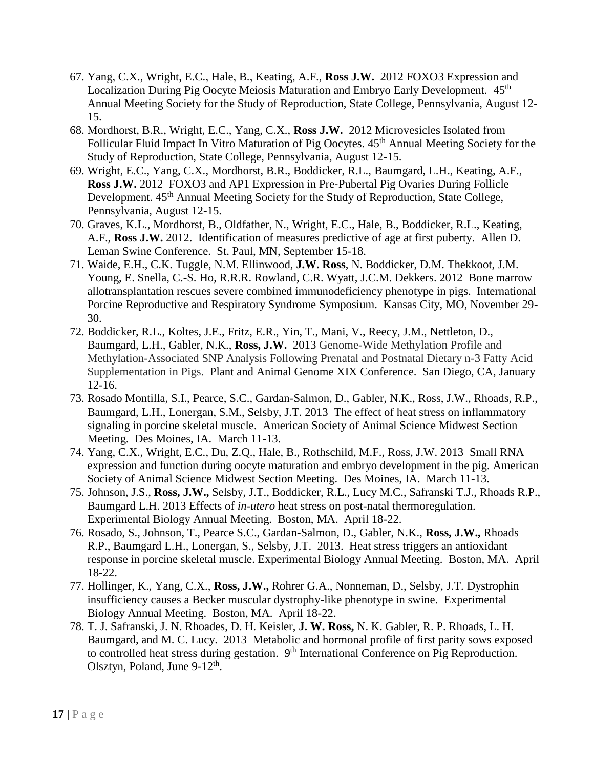- 67. Yang, C.X., Wright, E.C., Hale, B., Keating, A.F., **Ross J.W.** 2012 FOXO3 Expression and Localization During Pig Oocyte Meiosis Maturation and Embryo Early Development. 45<sup>th</sup> Annual Meeting Society for the Study of Reproduction, State College, Pennsylvania, August 12- 15.
- 68. Mordhorst, B.R., Wright, E.C., Yang, C.X., **Ross J.W.** 2012 Microvesicles Isolated from Follicular Fluid Impact In Vitro Maturation of Pig Oocytes. 45<sup>th</sup> Annual Meeting Society for the Study of Reproduction, State College, Pennsylvania, August 12-15.
- 69. Wright, E.C., Yang, C.X., Mordhorst, B.R., Boddicker, R.L., Baumgard, L.H., Keating, A.F., **Ross J.W.** 2012 FOXO3 and AP1 Expression in Pre‐Pubertal Pig Ovaries During Follicle Development. 45<sup>th</sup> Annual Meeting Society for the Study of Reproduction, State College, Pennsylvania, August 12-15.
- 70. Graves, K.L., Mordhorst, B., Oldfather, N., Wright, E.C., Hale, B., Boddicker, R.L., Keating, A.F., **Ross J.W.** 2012. Identification of measures predictive of age at first puberty. Allen D. Leman Swine Conference. St. Paul, MN, September 15-18.
- 71. Waide, E.H., C.K. Tuggle, N.M. Ellinwood, **J.W. Ross**, N. Boddicker, D.M. Thekkoot, J.M. Young, E. Snella, C.-S. Ho, R.R.R. Rowland, C.R. Wyatt, J.C.M. Dekkers. 2012 Bone marrow allotransplantation rescues severe combined immunodeficiency phenotype in pigs. International Porcine Reproductive and Respiratory Syndrome Symposium. Kansas City, MO, November 29- 30.
- 72. Boddicker, R.L., Koltes, J.E., Fritz, E.R., Yin, T., Mani, V., Reecy, J.M., Nettleton, D., Baumgard, L.H., Gabler, N.K., **Ross, J.W.** 2013 Genome-Wide Methylation Profile and Methylation-Associated SNP Analysis Following Prenatal and Postnatal Dietary n-3 Fatty Acid Supplementation in Pigs. Plant and Animal Genome XIX Conference. San Diego, CA, January 12-16.
- 73. Rosado Montilla, S.I., Pearce, S.C., Gardan-Salmon, D., Gabler, N.K., Ross, J.W., Rhoads, R.P., Baumgard, L.H., Lonergan, S.M., Selsby, J.T. 2013 The effect of heat stress on inflammatory signaling in porcine skeletal muscle. American Society of Animal Science Midwest Section Meeting. Des Moines, IA. March 11-13.
- 74. Yang, C.X., Wright, E.C., Du, Z.Q., Hale, B., Rothschild, M.F., Ross, J.W. 2013 Small RNA expression and function during oocyte maturation and embryo development in the pig. American Society of Animal Science Midwest Section Meeting. Des Moines, IA. March 11-13.
- 75. Johnson, J.S., **Ross, J.W.,** Selsby, J.T., Boddicker, R.L., Lucy M.C., Safranski T.J., Rhoads R.P., Baumgard L.H. 2013 Effects of *in-utero* heat stress on post-natal thermoregulation. Experimental Biology Annual Meeting. Boston, MA. April 18-22.
- 76. Rosado, S., Johnson, T., Pearce S.C., Gardan-Salmon, D., Gabler, N.K., **Ross, J.W.,** Rhoads R.P., Baumgard L.H., Lonergan, S., Selsby, J.T. 2013. Heat stress triggers an antioxidant response in porcine skeletal muscle. Experimental Biology Annual Meeting. Boston, MA. April 18-22.
- 77. Hollinger, K., Yang, C.X., **Ross, J.W.,** Rohrer G.A., Nonneman, D., Selsby, J.T. Dystrophin insufficiency causes a Becker muscular dystrophy-like phenotype in swine. Experimental Biology Annual Meeting. Boston, MA. April 18-22.
- 78. T. J. Safranski, J. N. Rhoades, D. H. Keisler, **J. W. Ross,** N. K. Gabler, R. P. Rhoads, L. H. Baumgard, and M. C. Lucy. 2013 Metabolic and hormonal profile of first parity sows exposed to controlled heat stress during gestation. 9<sup>th</sup> International Conference on Pig Reproduction. Olsztyn, Poland, June  $9-12^{\text{th}}$ .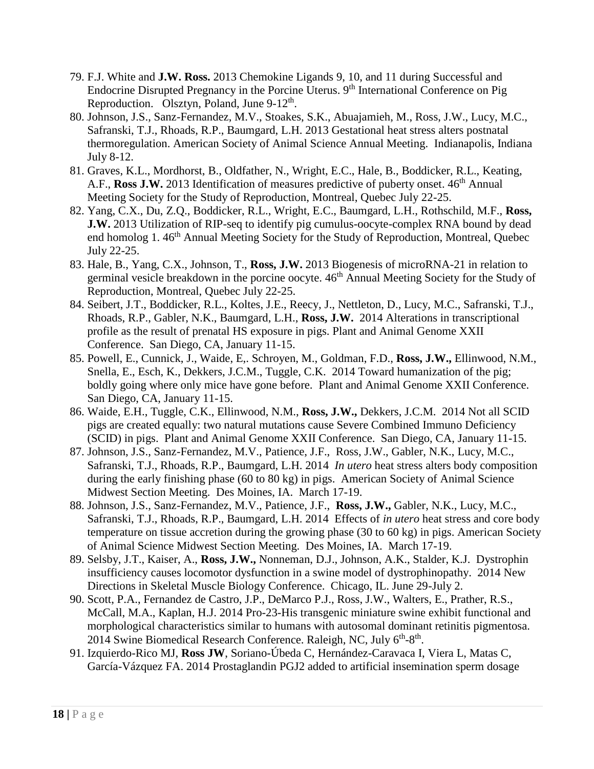- 79. F.J. White and **J.W. Ross.** 2013 Chemokine Ligands 9, 10, and 11 during Successful and Endocrine Disrupted Pregnancy in the Porcine Uterus. 9<sup>th</sup> International Conference on Pig Reproduction. Olsztyn, Poland, June 9-12<sup>th</sup>.
- 80. Johnson, J.S., Sanz-Fernandez, M.V., Stoakes, S.K., Abuajamieh, M., Ross, J.W., Lucy, M.C., Safranski, T.J., Rhoads, R.P., Baumgard, L.H. 2013 Gestational heat stress alters postnatal thermoregulation. American Society of Animal Science Annual Meeting. Indianapolis, Indiana July 8-12.
- 81. Graves, K.L., Mordhorst, B., Oldfather, N., Wright, E.C., Hale, B., Boddicker, R.L., Keating, A.F., **Ross J.W.** 2013 Identification of measures predictive of puberty onset. 46<sup>th</sup> Annual Meeting Society for the Study of Reproduction, Montreal, Quebec July 22-25.
- 82. Yang, C.X., Du, Z.Q., Boddicker, R.L., Wright, E.C., Baumgard, L.H., Rothschild, M.F., **Ross, J.W.** 2013 Utilization of RIP-seq to identify pig cumulus-oocyte-complex RNA bound by dead end homolog 1. 46<sup>th</sup> Annual Meeting Society for the Study of Reproduction, Montreal, Quebec July 22-25.
- 83. Hale, B., Yang, C.X., Johnson, T., **Ross, J.W.** 2013 Biogenesis of microRNA-21 in relation to germinal vesicle breakdown in the porcine oocyte. 46<sup>th</sup> Annual Meeting Society for the Study of Reproduction, Montreal, Quebec July 22-25.
- 84. Seibert, J.T., Boddicker, R.L., Koltes, J.E., Reecy, J., Nettleton, D., Lucy, M.C., Safranski, T.J., Rhoads, R.P., Gabler, N.K., Baumgard, L.H., **Ross, J.W.** 2014 Alterations in transcriptional profile as the result of prenatal HS exposure in pigs. Plant and Animal Genome XXII Conference. San Diego, CA, January 11-15.
- 85. Powell, E., Cunnick, J., Waide, E,. Schroyen, M., Goldman, F.D., **Ross, J.W.,** Ellinwood, N.M., Snella, E., Esch, K., Dekkers, J.C.M., Tuggle, C.K. 2014 Toward humanization of the pig; boldly going where only mice have gone before. Plant and Animal Genome XXII Conference. San Diego, CA, January 11-15.
- 86. Waide, E.H., Tuggle, C.K., Ellinwood, N.M., **Ross, J.W.,** Dekkers, J.C.M. 2014 Not all SCID pigs are created equally: two natural mutations cause Severe Combined Immuno Deficiency (SCID) in pigs. Plant and Animal Genome XXII Conference. San Diego, CA, January 11-15.
- 87. Johnson, J.S., Sanz-Fernandez, M.V., Patience, J.F., Ross, J.W., Gabler, N.K., Lucy, M.C., Safranski, T.J., Rhoads, R.P., Baumgard, L.H. 2014 *In utero* heat stress alters body composition during the early finishing phase (60 to 80 kg) in pigs. American Society of Animal Science Midwest Section Meeting. Des Moines, IA. March 17-19.
- 88. Johnson, J.S., Sanz-Fernandez, M.V., Patience, J.F., **Ross, J.W.,** Gabler, N.K., Lucy, M.C., Safranski, T.J., Rhoads, R.P., Baumgard, L.H. 2014 Effects of *in utero* heat stress and core body temperature on tissue accretion during the growing phase (30 to 60 kg) in pigs. American Society of Animal Science Midwest Section Meeting. Des Moines, IA. March 17-19.
- 89. Selsby, J.T., Kaiser, A., **Ross, J.W.,** Nonneman, D.J., Johnson, A.K., Stalder, K.J. Dystrophin insufficiency causes locomotor dysfunction in a swine model of dystrophinopathy. 2014 New Directions in Skeletal Muscle Biology Conference. Chicago, IL. June 29-July 2.
- 90. Scott, P.A., Fernandez de Castro, J.P., DeMarco P.J., Ross, J.W., Walters, E., Prather, R.S., McCall, M.A., Kaplan, H.J. 2014 Pro-23-His transgenic miniature swine exhibit functional and morphological characteristics similar to humans with autosomal dominant retinitis pigmentosa. 2014 Swine Biomedical Research Conference. Raleigh, NC, July 6<sup>th</sup>-8<sup>th</sup>.
- 91. Izquierdo-Rico MJ, **Ross JW**, Soriano-Úbeda C, Hernández-Caravaca I, Viera L, Matas C, García-Vázquez FA. 2014 Prostaglandin PGJ2 added to artificial insemination sperm dosage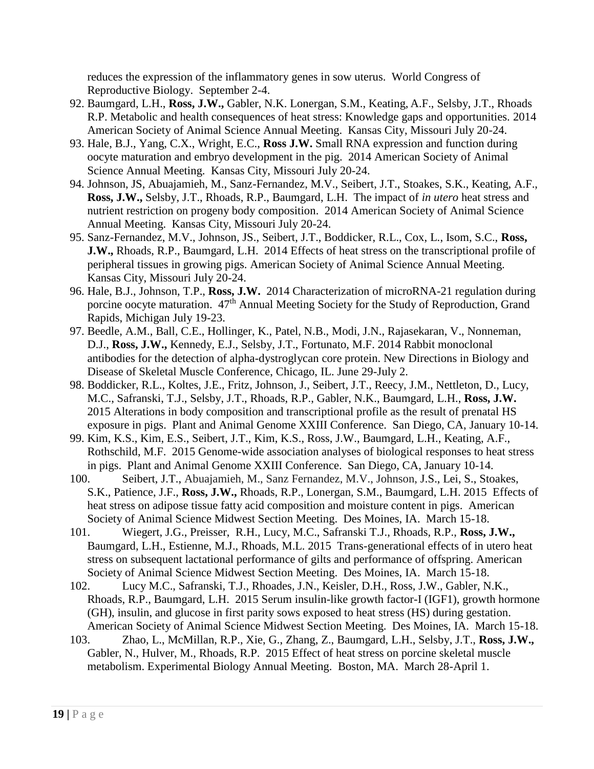reduces the expression of the inflammatory genes in sow uterus. World Congress of Reproductive Biology. September 2-4.

- 92. Baumgard, L.H., **Ross, J.W.,** Gabler, N.K. Lonergan, S.M., Keating, A.F., Selsby, J.T., Rhoads R.P. Metabolic and health consequences of heat stress: Knowledge gaps and opportunities. 2014 American Society of Animal Science Annual Meeting. Kansas City, Missouri July 20-24.
- 93. Hale, B.J., Yang, C.X., Wright, E.C., **Ross J.W.** Small RNA expression and function during oocyte maturation and embryo development in the pig. 2014 American Society of Animal Science Annual Meeting. Kansas City, Missouri July 20-24.
- 94. Johnson, JS, Abuajamieh, M., Sanz-Fernandez, M.V., Seibert, J.T., Stoakes, S.K., Keating, A.F., **Ross, J.W.,** Selsby, J.T., Rhoads, R.P., Baumgard, L.H. The impact of *in utero* heat stress and nutrient restriction on progeny body composition. 2014 American Society of Animal Science Annual Meeting. Kansas City, Missouri July 20-24.
- 95. Sanz-Fernandez, M.V., Johnson, JS., Seibert, J.T., Boddicker, R.L., Cox, L., Isom, S.C., **Ross, J.W.,** Rhoads, R.P., Baumgard, L.H. 2014 Effects of heat stress on the transcriptional profile of peripheral tissues in growing pigs. American Society of Animal Science Annual Meeting. Kansas City, Missouri July 20-24.
- 96. Hale, B.J., Johnson, T.P., **Ross, J.W.** 2014 Characterization of microRNA-21 regulation during porcine oocyte maturation. 47<sup>th</sup> Annual Meeting Society for the Study of Reproduction, Grand Rapids, Michigan July 19-23.
- 97. Beedle, A.M., Ball, C.E., Hollinger, K., Patel, N.B., Modi, J.N., Rajasekaran, V., Nonneman, D.J., **Ross, J.W.,** Kennedy, E.J., Selsby, J.T., Fortunato, M.F. 2014 Rabbit monoclonal antibodies for the detection of alpha-dystroglycan core protein. New Directions in Biology and Disease of Skeletal Muscle Conference, Chicago, IL. June 29-July 2.
- 98. Boddicker, R.L., Koltes, J.E., Fritz, Johnson, J., Seibert, J.T., Reecy, J.M., Nettleton, D., Lucy, M.C., Safranski, T.J., Selsby, J.T., Rhoads, R.P., Gabler, N.K., Baumgard, L.H., **Ross, J.W.** 2015 Alterations in body composition and transcriptional profile as the result of prenatal HS exposure in pigs. Plant and Animal Genome XXIII Conference. San Diego, CA, January 10-14.
- 99. Kim, K.S., Kim, E.S., Seibert, J.T., Kim, K.S., Ross, J.W., Baumgard, L.H., Keating, A.F., Rothschild, M.F. 2015 Genome-wide association analyses of biological responses to heat stress in pigs. Plant and Animal Genome XXIII Conference. San Diego, CA, January 10-14.
- 100. Seibert, J.T., Abuajamieh, M., Sanz Fernandez, M.V., Johnson, J.S., Lei, S., Stoakes, S.K., Patience, J.F., **Ross, J.W.,** Rhoads, R.P., Lonergan, S.M., Baumgard, L.H. 2015 Effects of heat stress on adipose tissue fatty acid composition and moisture content in pigs. American Society of Animal Science Midwest Section Meeting. Des Moines, IA. March 15-18.
- 101. Wiegert, J.G., Preisser, R.H., Lucy, M.C., Safranski T.J., Rhoads, R.P., **Ross, J.W.,** Baumgard, L.H., Estienne, M.J., Rhoads, M.L. 2015 Trans-generational effects of in utero heat stress on subsequent lactational performance of gilts and performance of offspring. American Society of Animal Science Midwest Section Meeting. Des Moines, IA. March 15-18.
- 102. Lucy M.C., Safranski, T.J., Rhoades, J.N., Keisler, D.H., Ross, J.W., Gabler, N.K., Rhoads, R.P., Baumgard, L.H. 2015 Serum insulin-like growth factor-I (IGF1), growth hormone (GH), insulin, and glucose in first parity sows exposed to heat stress (HS) during gestation. American Society of Animal Science Midwest Section Meeting. Des Moines, IA. March 15-18.
- 103. Zhao, L., McMillan, R.P., Xie, G., Zhang, Z., Baumgard, L.H., Selsby, J.T., **Ross, J.W.,** Gabler, N., Hulver, M., Rhoads, R.P. 2015 Effect of heat stress on porcine skeletal muscle metabolism. Experimental Biology Annual Meeting. Boston, MA. March 28-April 1.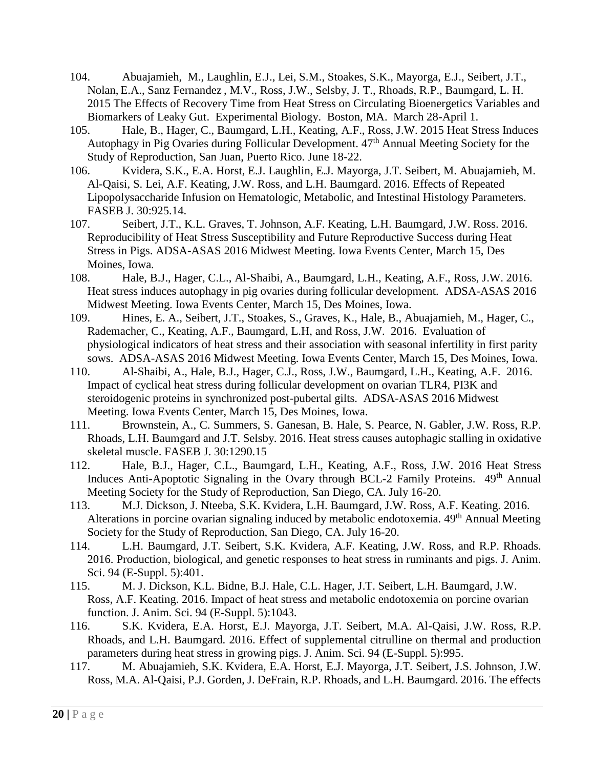- 104. Abuajamieh, M., Laughlin, E.J., Lei, S.M., Stoakes, S.K., Mayorga, E.J., Seibert, J.T., Nolan, E.A., Sanz Fernandez , M.V., Ross, J.W., Selsby, J. T., Rhoads, R.P., Baumgard, L. H. 2015 The Effects of Recovery Time from Heat Stress on Circulating Bioenergetics Variables and Biomarkers of Leaky Gut. Experimental Biology. Boston, MA. March 28-April 1.
- 105. Hale, B., Hager, C., Baumgard, L.H., Keating, A.F., Ross, J.W. 2015 Heat Stress Induces Autophagy in Pig Ovaries during Follicular Development. 47<sup>th</sup> Annual Meeting Society for the Study of Reproduction, San Juan, Puerto Rico. June 18-22.
- 106. Kvidera, S.K., E.A. Horst, E.J. Laughlin, E.J. Mayorga, J.T. Seibert, M. Abuajamieh, M. Al-Qaisi, S. Lei, A.F. Keating, J.W. Ross, and L.H. Baumgard. 2016. Effects of Repeated Lipopolysaccharide Infusion on Hematologic, Metabolic, and Intestinal Histology Parameters. FASEB J. 30:925.14.
- 107. Seibert, J.T., K.L. Graves, T. Johnson, A.F. Keating, L.H. Baumgard, J.W. Ross. 2016. Reproducibility of Heat Stress Susceptibility and Future Reproductive Success during Heat Stress in Pigs. ADSA-ASAS 2016 Midwest Meeting. Iowa Events Center, March 15, Des Moines, Iowa.
- 108. Hale, B.J., Hager, C.L., Al-Shaibi, A., Baumgard, L.H., Keating, A.F., Ross, J.W. 2016. Heat stress induces autophagy in pig ovaries during follicular development. ADSA-ASAS 2016 Midwest Meeting. Iowa Events Center, March 15, Des Moines, Iowa.
- 109. Hines, E. A., Seibert, J.T., Stoakes, S., Graves, K., Hale, B., Abuajamieh, M., Hager, C., Rademacher, C., Keating, A.F., Baumgard, L.H, and Ross, J.W. 2016. Evaluation of physiological indicators of heat stress and their association with seasonal infertility in first parity sows. ADSA-ASAS 2016 Midwest Meeting. Iowa Events Center, March 15, Des Moines, Iowa.
- 110. Al-Shaibi, A., Hale, B.J., Hager, C.J., Ross, J.W., Baumgard, L.H., Keating, A.F. 2016. Impact of cyclical heat stress during follicular development on ovarian TLR4, PI3K and steroidogenic proteins in synchronized post-pubertal gilts. ADSA-ASAS 2016 Midwest Meeting. Iowa Events Center, March 15, Des Moines, Iowa.
- 111. Brownstein, A., C. Summers, S. Ganesan, B. Hale, S. Pearce, N. Gabler, J.W. Ross, R.P. Rhoads, L.H. Baumgard and J.T. Selsby. 2016. Heat stress causes autophagic stalling in oxidative skeletal muscle. FASEB J. 30:1290.15
- 112. Hale, B.J., Hager, C.L., Baumgard, L.H., Keating, A.F., Ross, J.W. 2016 Heat Stress Induces Anti-Apoptotic Signaling in the Ovary through BCL-2 Family Proteins. 49<sup>th</sup> Annual Meeting Society for the Study of Reproduction, San Diego, CA. July 16-20.
- 113. M.J. Dickson, J. Nteeba, S.K. Kvidera, L.H. Baumgard, J.W. Ross, A.F. Keating. 2016. Alterations in porcine ovarian signaling induced by metabolic endotoxemia. 49<sup>th</sup> Annual Meeting Society for the Study of Reproduction, San Diego, CA. July 16-20.
- 114. L.H. Baumgard, J.T. Seibert, S.K. Kvidera, A.F. Keating, J.W. Ross, and R.P. Rhoads. 2016. Production, biological, and genetic responses to heat stress in ruminants and pigs. J. Anim. Sci. 94 (E-Suppl. 5):401.
- 115. M. J. Dickson, K.L. Bidne, B.J. Hale, C.L. Hager, J.T. Seibert, L.H. Baumgard, J.W. Ross, A.F. Keating. 2016. Impact of heat stress and metabolic endotoxemia on porcine ovarian function. J. Anim. Sci. 94 (E-Suppl. 5):1043.
- 116. S.K. Kvidera, E.A. Horst, E.J. Mayorga, J.T. Seibert, M.A. Al-Qaisi, J.W. Ross, R.P. Rhoads, and L.H. Baumgard. 2016. Effect of supplemental citrulline on thermal and production parameters during heat stress in growing pigs. J. Anim. Sci. 94 (E-Suppl. 5):995.
- 117. M. Abuajamieh, S.K. Kvidera, E.A. Horst, E.J. Mayorga, J.T. Seibert, J.S. Johnson, J.W. Ross, M.A. Al-Qaisi, P.J. Gorden, J. DeFrain, R.P. Rhoads, and L.H. Baumgard. 2016. The effects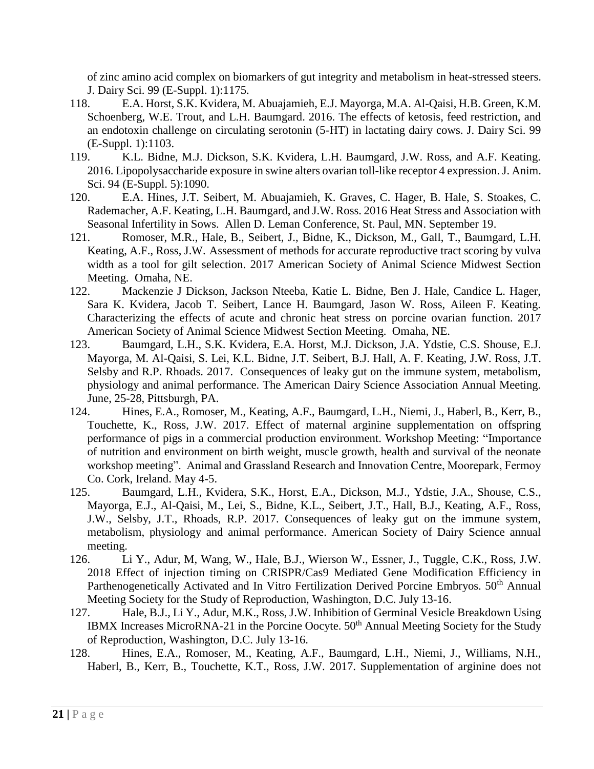of zinc amino acid complex on biomarkers of gut integrity and metabolism in heat-stressed steers. J. Dairy Sci. 99 (E-Suppl. 1):1175.

- 118. E.A. Horst, S.K. Kvidera, M. Abuajamieh, E.J. Mayorga, M.A. Al-Qaisi, H.B. Green, K.M. Schoenberg, W.E. Trout, and L.H. Baumgard. 2016. The effects of ketosis, feed restriction, and an endotoxin challenge on circulating serotonin (5-HT) in lactating dairy cows. J. Dairy Sci. 99 (E-Suppl. 1):1103.
- 119. K.L. Bidne, M.J. Dickson, S.K. Kvidera, L.H. Baumgard, J.W. Ross, and A.F. Keating. 2016. Lipopolysaccharide exposure in swine alters ovarian toll-like receptor 4 expression. J. Anim. Sci. 94 (E-Suppl. 5):1090.
- 120. E.A. Hines, J.T. Seibert, M. Abuajamieh, K. Graves, C. Hager, B. Hale, S. Stoakes, C. Rademacher, A.F. Keating, L.H. Baumgard, and J.W. Ross. 2016 Heat Stress and Association with Seasonal Infertility in Sows. Allen D. Leman Conference, St. Paul, MN. September 19.
- 121. Romoser, M.R., Hale, B., Seibert, J., Bidne, K., Dickson, M., Gall, T., Baumgard, L.H. Keating, A.F., Ross, J.W. Assessment of methods for accurate reproductive tract scoring by vulva width as a tool for gilt selection. 2017 American Society of Animal Science Midwest Section Meeting. Omaha, NE.
- 122. Mackenzie J Dickson, Jackson Nteeba, Katie L. Bidne, Ben J. Hale, Candice L. Hager, Sara K. Kvidera, Jacob T. Seibert, Lance H. Baumgard, Jason W. Ross, Aileen F. Keating. Characterizing the effects of acute and chronic heat stress on porcine ovarian function. 2017 American Society of Animal Science Midwest Section Meeting. Omaha, NE.
- 123. Baumgard, L.H., S.K. Kvidera, E.A. Horst, M.J. Dickson, J.A. Ydstie, C.S. Shouse, E.J. Mayorga, M. Al-Qaisi, S. Lei, K.L. Bidne, J.T. Seibert, B.J. Hall, A. F. Keating, J.W. Ross, J.T. Selsby and R.P. Rhoads. 2017. Consequences of leaky gut on the immune system, metabolism, physiology and animal performance. The American Dairy Science Association Annual Meeting. June, 25-28, Pittsburgh, PA.
- 124. Hines, E.A., Romoser, M., Keating, A.F., Baumgard, L.H., Niemi, J., Haberl, B., Kerr, B., Touchette, K., Ross, J.W. 2017. Effect of maternal arginine supplementation on offspring performance of pigs in a commercial production environment. Workshop Meeting: "Importance of nutrition and environment on birth weight, muscle growth, health and survival of the neonate workshop meeting". Animal and Grassland Research and Innovation Centre, Moorepark, Fermoy Co. Cork, Ireland. May 4-5.
- 125. Baumgard, L.H., Kvidera, S.K., Horst, E.A., Dickson, M.J., Ydstie, J.A., Shouse, C.S., Mayorga, E.J., Al-Qaisi, M., Lei, S., Bidne, K.L., Seibert, J.T., Hall, B.J., Keating, A.F., Ross, J.W., Selsby, J.T., Rhoads, R.P. 2017. Consequences of leaky gut on the immune system, metabolism, physiology and animal performance. American Society of Dairy Science annual meeting.
- 126. Li Y., Adur, M, Wang, W., Hale, B.J., Wierson W., Essner, J., Tuggle, C.K., Ross, J.W. 2018 Effect of injection timing on CRISPR/Cas9 Mediated Gene Modification Efficiency in Parthenogenetically Activated and In Vitro Fertilization Derived Porcine Embryos. 50<sup>th</sup> Annual Meeting Society for the Study of Reproduction, Washington, D.C. July 13-16.
- 127. Hale, B.J., Li Y., Adur, M.K., Ross, J.W. Inhibition of Germinal Vesicle Breakdown Using IBMX Increases MicroRNA-21 in the Porcine Oocyte. 50<sup>th</sup> Annual Meeting Society for the Study of Reproduction, Washington, D.C. July 13-16.
- 128. Hines, E.A., Romoser, M., Keating, A.F., Baumgard, L.H., Niemi, J., Williams, N.H., Haberl, B., Kerr, B., Touchette, K.T., Ross, J.W. 2017. Supplementation of arginine does not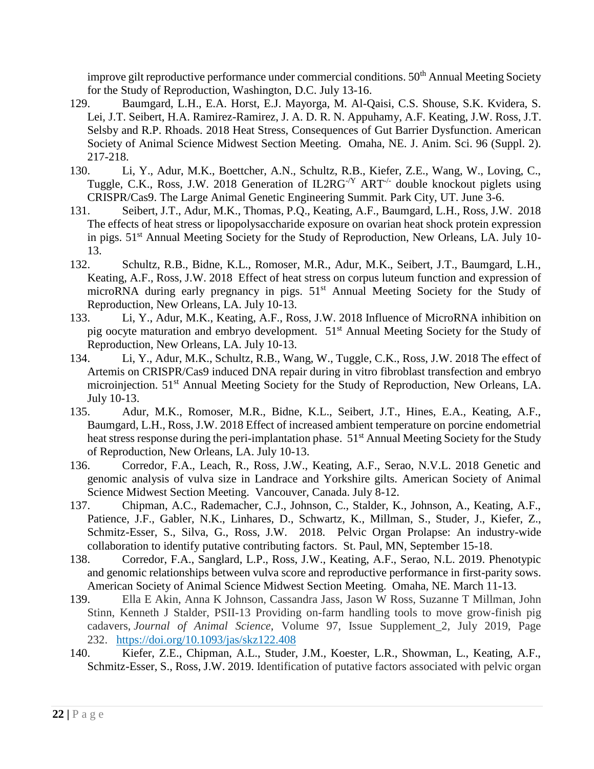improve gilt reproductive performance under commercial conditions.  $50<sup>th</sup>$  Annual Meeting Society for the Study of Reproduction, Washington, D.C. July 13-16.

- 129. Baumgard, L.H., E.A. Horst, E.J. Mayorga, M. Al-Qaisi, C.S. Shouse, S.K. Kvidera, S. Lei, J.T. Seibert, H.A. Ramirez-Ramirez, J. A. D. R. N. Appuhamy, A.F. Keating, J.W. Ross, J.T. Selsby and R.P. Rhoads. 2018 Heat Stress, Consequences of Gut Barrier Dysfunction. American Society of Animal Science Midwest Section Meeting. Omaha, NE. J. Anim. Sci. 96 (Suppl. 2). 217-218.
- 130. Li, Y., Adur, M.K., Boettcher, A.N., Schultz, R.B., Kiefer, Z.E., Wang, W., Loving, C., Tuggle, C.K., Ross, J.W. 2018 Generation of  $IL2RG<sup>-Y</sup> ART<sup>-/-</sup>$  double knockout piglets using CRISPR/Cas9. The Large Animal Genetic Engineering Summit. Park City, UT. June 3-6.
- 131. Seibert, J.T., Adur, M.K., Thomas, P.Q., Keating, A.F., Baumgard, L.H., Ross, J.W. 2018 The effects of heat stress or lipopolysaccharide exposure on ovarian heat shock protein expression in pigs. 51<sup>st</sup> Annual Meeting Society for the Study of Reproduction, New Orleans, LA. July 10-13.
- 132. Schultz, R.B., Bidne, K.L., Romoser, M.R., Adur, M.K., Seibert, J.T., Baumgard, L.H., Keating, A.F., Ross, J.W. 2018 Effect of heat stress on corpus luteum function and expression of microRNA during early pregnancy in pigs.  $51<sup>st</sup>$  Annual Meeting Society for the Study of Reproduction, New Orleans, LA. July 10-13.
- 133. Li, Y., Adur, M.K., Keating, A.F., Ross, J.W. 2018 Influence of MicroRNA inhibition on pig oocyte maturation and embryo development. 51st Annual Meeting Society for the Study of Reproduction, New Orleans, LA. July 10-13.
- 134. Li, Y., Adur, M.K., Schultz, R.B., Wang, W., Tuggle, C.K., Ross, J.W. 2018 The effect of Artemis on CRISPR/Cas9 induced DNA repair during in vitro fibroblast transfection and embryo microinjection. 51<sup>st</sup> Annual Meeting Society for the Study of Reproduction, New Orleans, LA. July 10-13.
- 135. Adur, M.K., Romoser, M.R., Bidne, K.L., Seibert, J.T., Hines, E.A., Keating, A.F., Baumgard, L.H., Ross, J.W. 2018 Effect of increased ambient temperature on porcine endometrial heat stress response during the peri-implantation phase. 51<sup>st</sup> Annual Meeting Society for the Study of Reproduction, New Orleans, LA. July 10-13.
- 136. Corredor, F.A., Leach, R., Ross, J.W., Keating, A.F., Serao, N.V.L. 2018 Genetic and genomic analysis of vulva size in Landrace and Yorkshire gilts. American Society of Animal Science Midwest Section Meeting. Vancouver, Canada. July 8-12.
- 137. Chipman, A.C., Rademacher, C.J., Johnson, C., Stalder, K., Johnson, A., Keating, A.F., Patience, J.F., Gabler, N.K., Linhares, D., Schwartz, K., Millman, S., Studer, J., Kiefer, Z., Schmitz-Esser, S., Silva, G., Ross, J.W. 2018. Pelvic Organ Prolapse: An industry-wide collaboration to identify putative contributing factors. St. Paul, MN, September 15-18.
- 138. Corredor, F.A., Sanglard, L.P., Ross, J.W., Keating, A.F., Serao, N.L. 2019. Phenotypic and genomic relationships between vulva score and reproductive performance in first-parity sows. American Society of Animal Science Midwest Section Meeting. Omaha, NE. March 11-13.
- 139. Ella E Akin, Anna K Johnson, Cassandra Jass, Jason W Ross, Suzanne T Millman, John Stinn, Kenneth J Stalder, PSII-13 Providing on-farm handling tools to move grow-finish pig cadavers, *Journal of Animal Science*, Volume 97, Issue Supplement\_2, July 2019, Page 232. <https://doi.org/10.1093/jas/skz122.408>
- 140. Kiefer, Z.E., Chipman, A.L., Studer, J.M., Koester, L.R., Showman, L., Keating, A.F., Schmitz-Esser, S., Ross, J.W. 2019. Identification of putative factors associated with pelvic organ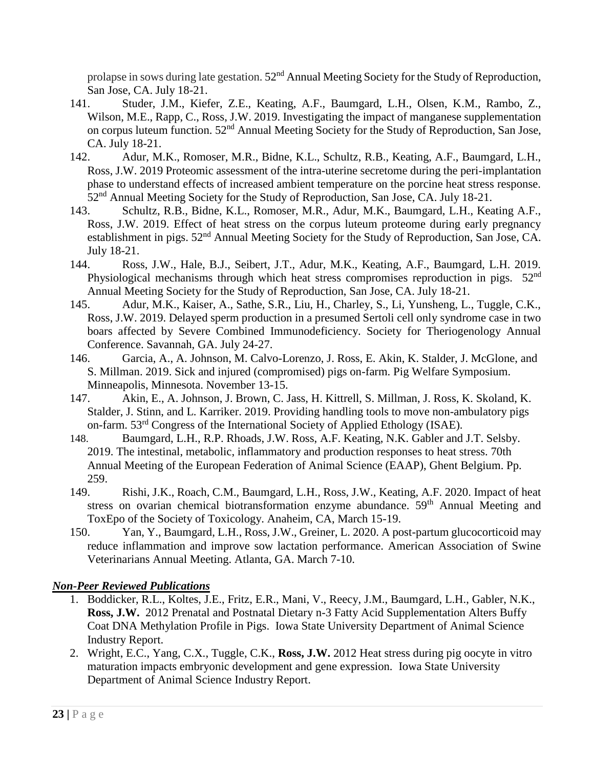prolapse in sows during late gestation.  $52<sup>nd</sup>$  Annual Meeting Society for the Study of Reproduction, San Jose, CA. July 18-21.

- 141. Studer, J.M., Kiefer, Z.E., Keating, A.F., Baumgard, L.H., Olsen, K.M., Rambo, Z., Wilson, M.E., Rapp, C., Ross, J.W. 2019. Investigating the impact of manganese supplementation on corpus luteum function. 52nd Annual Meeting Society for the Study of Reproduction, San Jose, CA. July 18-21.
- 142. Adur, M.K., Romoser, M.R., Bidne, K.L., Schultz, R.B., Keating, A.F., Baumgard, L.H., Ross, J.W. 2019 Proteomic assessment of the intra-uterine secretome during the peri-implantation phase to understand effects of increased ambient temperature on the porcine heat stress response. 52<sup>nd</sup> Annual Meeting Society for the Study of Reproduction, San Jose, CA. July 18-21.
- 143. Schultz, R.B., Bidne, K.L., Romoser, M.R., Adur, M.K., Baumgard, L.H., Keating A.F., Ross, J.W. 2019. Effect of heat stress on the corpus luteum proteome during early pregnancy establishment in pigs.  $52<sup>nd</sup>$  Annual Meeting Society for the Study of Reproduction, San Jose, CA. July 18-21.
- 144. Ross, J.W., Hale, B.J., Seibert, J.T., Adur, M.K., Keating, A.F., Baumgard, L.H. 2019. Physiological mechanisms through which heat stress compromises reproduction in pigs. 52<sup>nd</sup> Annual Meeting Society for the Study of Reproduction, San Jose, CA. July 18-21.
- 145. Adur, M.K., Kaiser, A., Sathe, S.R., Liu, H., Charley, S., Li, Yunsheng, L., Tuggle, C.K., Ross, J.W. 2019. Delayed sperm production in a presumed Sertoli cell only syndrome case in two boars affected by Severe Combined Immunodeficiency. Society for Theriogenology Annual Conference. Savannah, GA. July 24-27.
- 146. Garcia, A., A. Johnson, M. Calvo-Lorenzo, J. Ross, E. Akin, K. Stalder, J. McGlone, and S. Millman. 2019. Sick and injured (compromised) pigs on-farm. Pig Welfare Symposium. Minneapolis, Minnesota. November 13-15.
- 147. Akin, E., A. Johnson, J. Brown, C. Jass, H. Kittrell, S. Millman, J. Ross, K. Skoland, K. Stalder, J. Stinn, and L. Karriker. 2019. Providing handling tools to move non-ambulatory pigs on-farm. 53rd Congress of the International Society of Applied Ethology (ISAE).
- 148. Baumgard, L.H., R.P. Rhoads, J.W. Ross, A.F. Keating, N.K. Gabler and J.T. Selsby. 2019. The intestinal, metabolic, inflammatory and production responses to heat stress. 70th Annual Meeting of the European Federation of Animal Science (EAAP), Ghent Belgium. Pp. 259.
- 149. Rishi, J.K., Roach, C.M., Baumgard, L.H., Ross, J.W., Keating, A.F. 2020. Impact of heat stress on ovarian chemical biotransformation enzyme abundance. 59<sup>th</sup> Annual Meeting and ToxEpo of the Society of Toxicology. Anaheim, CA, March 15-19.
- 150. Yan, Y., Baumgard, L.H., Ross, J.W., Greiner, L. 2020. A post-partum glucocorticoid may reduce inflammation and improve sow lactation performance. American Association of Swine Veterinarians Annual Meeting. Atlanta, GA. March 7-10.

### *Non-Peer Reviewed Publications*

- 1. Boddicker, R.L., Koltes, J.E., Fritz, E.R., Mani, V., Reecy, J.M., Baumgard, L.H., Gabler, N.K., **Ross, J.W.** 2012 Prenatal and Postnatal Dietary n-3 Fatty Acid Supplementation Alters Buffy Coat DNA Methylation Profile in Pigs. Iowa State University Department of Animal Science Industry Report.
- 2. Wright, E.C., Yang, C.X., Tuggle, C.K., **Ross, J.W.** 2012 Heat stress during pig oocyte in vitro maturation impacts embryonic development and gene expression. Iowa State University Department of Animal Science Industry Report.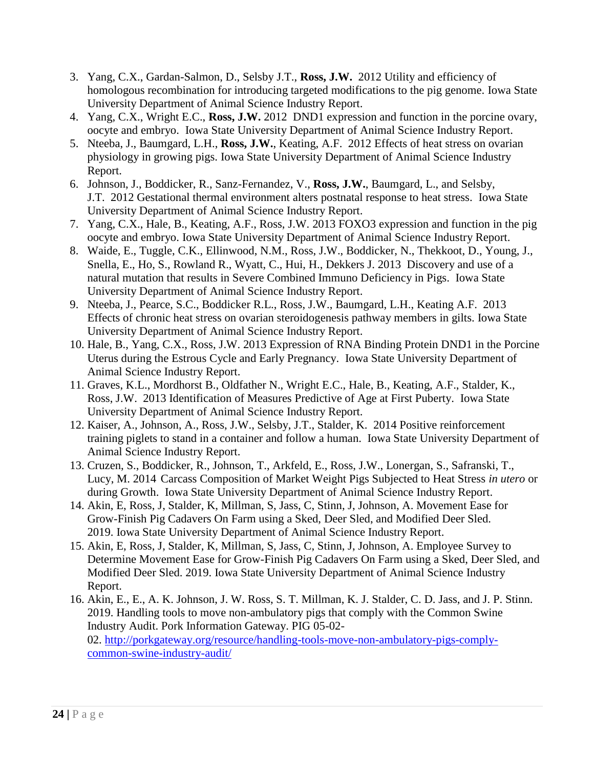- 3. Yang, C.X., Gardan-Salmon, D., Selsby J.T., **Ross, J.W.** 2012 Utility and efficiency of homologous recombination for introducing targeted modifications to the pig genome. Iowa State University Department of Animal Science Industry Report.
- 4. Yang, C.X., Wright E.C., **Ross, J.W.** 2012 DND1 expression and function in the porcine ovary, oocyte and embryo. Iowa State University Department of Animal Science Industry Report.
- 5. Nteeba, J., Baumgard, L.H., **Ross, J.W.**, Keating, A.F. 2012 Effects of heat stress on ovarian physiology in growing pigs. Iowa State University Department of Animal Science Industry Report.
- 6. Johnson, J., Boddicker, R., Sanz-Fernandez, V., **Ross, J.W.**, Baumgard, L., and Selsby, J.T. 2012 Gestational thermal environment alters postnatal response to heat stress. Iowa State University Department of Animal Science Industry Report.
- 7. Yang, C.X., Hale, B., Keating, A.F., Ross, J.W. 2013 FOXO3 expression and function in the pig oocyte and embryo. Iowa State University Department of Animal Science Industry Report.
- 8. Waide, E., Tuggle, C.K., Ellinwood, N.M., Ross, J.W., Boddicker, N., Thekkoot, D., Young, J., Snella, E., Ho, S., Rowland R., Wyatt, C., Hui, H., Dekkers J. 2013 Discovery and use of a natural mutation that results in Severe Combined Immuno Deficiency in Pigs. Iowa State University Department of Animal Science Industry Report.
- 9. Nteeba, J., Pearce, S.C., Boddicker R.L., Ross, J.W., Baumgard, L.H., Keating A.F. 2013 Effects of chronic heat stress on ovarian steroidogenesis pathway members in gilts. Iowa State University Department of Animal Science Industry Report.
- 10. Hale, B., Yang, C.X., Ross, J.W. 2013 Expression of RNA Binding Protein DND1 in the Porcine Uterus during the Estrous Cycle and Early Pregnancy. Iowa State University Department of Animal Science Industry Report.
- 11. Graves, K.L., Mordhorst B., Oldfather N., Wright E.C., Hale, B., Keating, A.F., Stalder, K., Ross, J.W. 2013 Identification of Measures Predictive of Age at First Puberty. Iowa State University Department of Animal Science Industry Report.
- 12. Kaiser, A., Johnson, A., Ross, J.W., Selsby, J.T., Stalder, K. 2014 Positive reinforcement training piglets to stand in a container and follow a human. Iowa State University Department of Animal Science Industry Report.
- 13. Cruzen, S., Boddicker, R., Johnson, T., Arkfeld, E., Ross, J.W., Lonergan, S., Safranski, T., Lucy, M. 2014 Carcass Composition of Market Weight Pigs Subjected to Heat Stress *in utero* or during Growth. Iowa State University Department of Animal Science Industry Report.
- 14. Akin, E, Ross, J, Stalder, K, Millman, S, Jass, C, Stinn, J, Johnson, A. Movement Ease for Grow-Finish Pig Cadavers On Farm using a Sked, Deer Sled, and Modified Deer Sled. 2019. Iowa State University Department of Animal Science Industry Report.
- 15. Akin, E, Ross, J, Stalder, K, Millman, S, Jass, C, Stinn, J, Johnson, A. Employee Survey to Determine Movement Ease for Grow-Finish Pig Cadavers On Farm using a Sked, Deer Sled, and Modified Deer Sled. 2019. Iowa State University Department of Animal Science Industry Report.
- 16. Akin, E., E., A. K. Johnson, J. W. Ross, S. T. Millman, K. J. Stalder, C. D. Jass, and J. P. Stinn. 2019. Handling tools to move non-ambulatory pigs that comply with the Common Swine Industry Audit. Pork Information Gateway. PIG 05-02- 02. [http://porkgateway.org/resource/handling-tools-move-non-ambulatory-pigs-comply](http://porkgateway.org/resource/handling-tools-move-non-ambulatory-pigs-comply-common-swine-industry-audit/)[common-swine-industry-audit/](http://porkgateway.org/resource/handling-tools-move-non-ambulatory-pigs-comply-common-swine-industry-audit/)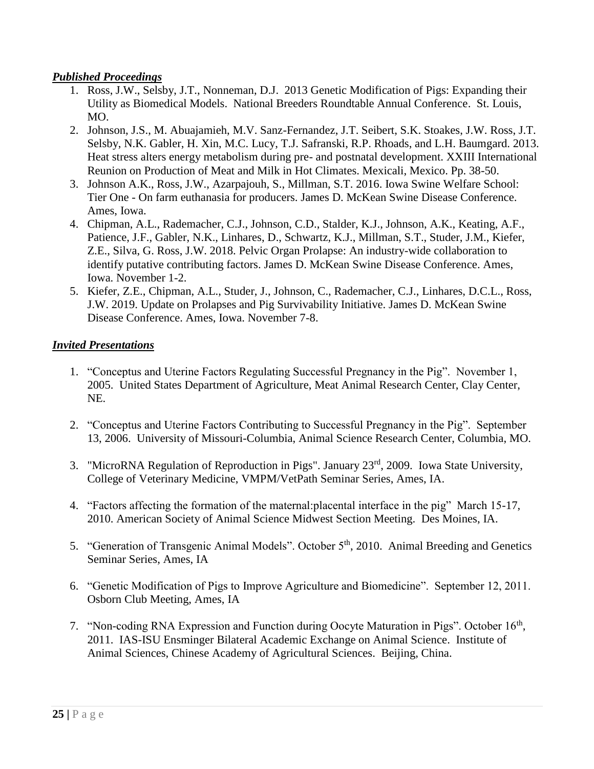### *Published Proceedings*

- 1. Ross, J.W., Selsby, J.T., Nonneman, D.J. 2013 Genetic Modification of Pigs: Expanding their Utility as Biomedical Models. National Breeders Roundtable Annual Conference. St. Louis, MO.
- 2. Johnson, J.S., M. Abuajamieh, M.V. Sanz-Fernandez, J.T. Seibert, S.K. Stoakes, J.W. Ross, J.T. Selsby, N.K. Gabler, H. Xin, M.C. Lucy, T.J. Safranski, R.P. Rhoads, and L.H. Baumgard. 2013. Heat stress alters energy metabolism during pre- and postnatal development. XXIII International Reunion on Production of Meat and Milk in Hot Climates. Mexicali, Mexico. Pp. 38-50.
- 3. Johnson A.K., Ross, J.W., Azarpajouh, S., Millman, S.T. 2016. Iowa Swine Welfare School: Tier One - On farm euthanasia for producers. James D. McKean Swine Disease Conference. Ames, Iowa.
- 4. Chipman, A.L., Rademacher, C.J., Johnson, C.D., Stalder, K.J., Johnson, A.K., Keating, A.F., Patience, J.F., Gabler, N.K., Linhares, D., Schwartz, K.J., Millman, S.T., Studer, J.M., Kiefer, Z.E., Silva, G. Ross, J.W. 2018. Pelvic Organ Prolapse: An industry-wide collaboration to identify putative contributing factors. James D. McKean Swine Disease Conference. Ames, Iowa. November 1-2.
- 5. Kiefer, Z.E., Chipman, A.L., Studer, J., Johnson, C., Rademacher, C.J., Linhares, D.C.L., Ross, J.W. 2019. Update on Prolapses and Pig Survivability Initiative. James D. McKean Swine Disease Conference. Ames, Iowa. November 7-8.

# *Invited Presentations*

- 1. "Conceptus and Uterine Factors Regulating Successful Pregnancy in the Pig". November 1, 2005. United States Department of Agriculture, Meat Animal Research Center, Clay Center, NE.
- 2. "Conceptus and Uterine Factors Contributing to Successful Pregnancy in the Pig". September 13, 2006. University of Missouri-Columbia, Animal Science Research Center, Columbia, MO.
- 3. "MicroRNA Regulation of Reproduction in Pigs". January 23rd, 2009. Iowa State University, College of Veterinary Medicine, VMPM/VetPath Seminar Series, Ames, IA.
- 4. "Factors affecting the formation of the maternal:placental interface in the pig" March 15-17, 2010. American Society of Animal Science Midwest Section Meeting. Des Moines, IA.
- 5. "Generation of Transgenic Animal Models". October 5<sup>th</sup>, 2010. Animal Breeding and Genetics Seminar Series, Ames, IA
- 6. "Genetic Modification of Pigs to Improve Agriculture and Biomedicine". September 12, 2011. Osborn Club Meeting, Ames, IA
- 7. "Non-coding RNA Expression and Function during Oocyte Maturation in Pigs". October 16<sup>th</sup>, 2011. IAS-ISU Ensminger Bilateral Academic Exchange on Animal Science. Institute of Animal Sciences, Chinese Academy of Agricultural Sciences. Beijing, China.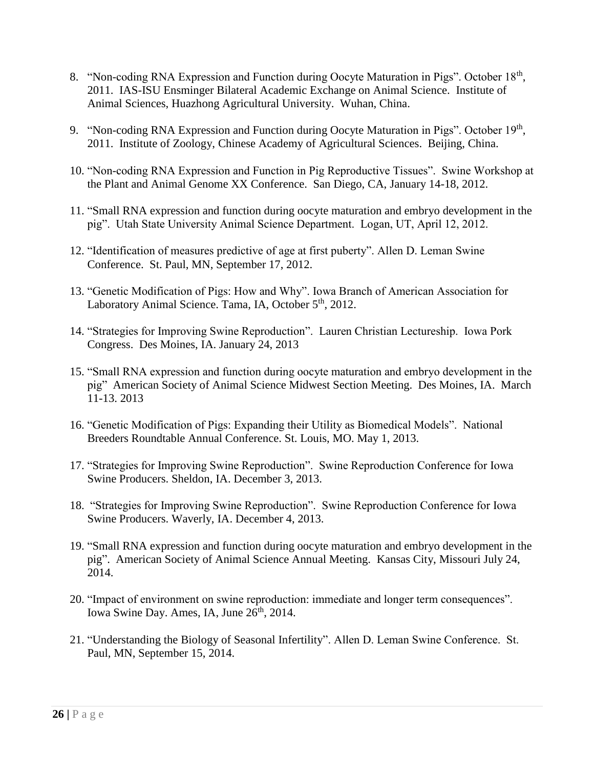- 8. "Non-coding RNA Expression and Function during Oocyte Maturation in Pigs". October 18<sup>th</sup>, 2011. IAS-ISU Ensminger Bilateral Academic Exchange on Animal Science. Institute of Animal Sciences, Huazhong Agricultural University. Wuhan, China.
- 9. "Non-coding RNA Expression and Function during Oocyte Maturation in Pigs". October 19th, 2011. Institute of Zoology, Chinese Academy of Agricultural Sciences. Beijing, China.
- 10. "Non-coding RNA Expression and Function in Pig Reproductive Tissues". Swine Workshop at the Plant and Animal Genome XX Conference. San Diego, CA, January 14-18, 2012.
- 11. "Small RNA expression and function during oocyte maturation and embryo development in the pig". Utah State University Animal Science Department. Logan, UT, April 12, 2012.
- 12. "Identification of measures predictive of age at first puberty". Allen D. Leman Swine Conference. St. Paul, MN, September 17, 2012.
- 13. "Genetic Modification of Pigs: How and Why". Iowa Branch of American Association for Laboratory Animal Science. Tama, IA, October 5<sup>th</sup>, 2012.
- 14. "Strategies for Improving Swine Reproduction". Lauren Christian Lectureship. Iowa Pork Congress. Des Moines, IA. January 24, 2013
- 15. "Small RNA expression and function during oocyte maturation and embryo development in the pig" American Society of Animal Science Midwest Section Meeting. Des Moines, IA. March 11-13. 2013
- 16. "Genetic Modification of Pigs: Expanding their Utility as Biomedical Models". National Breeders Roundtable Annual Conference. St. Louis, MO. May 1, 2013.
- 17. "Strategies for Improving Swine Reproduction". Swine Reproduction Conference for Iowa Swine Producers. Sheldon, IA. December 3, 2013.
- 18. "Strategies for Improving Swine Reproduction". Swine Reproduction Conference for Iowa Swine Producers. Waverly, IA. December 4, 2013.
- 19. "Small RNA expression and function during oocyte maturation and embryo development in the pig". American Society of Animal Science Annual Meeting. Kansas City, Missouri July 24, 2014.
- 20. "Impact of environment on swine reproduction: immediate and longer term consequences". Iowa Swine Day. Ames, IA, June 26<sup>th</sup>, 2014.
- 21. "Understanding the Biology of Seasonal Infertility". Allen D. Leman Swine Conference. St. Paul, MN, September 15, 2014.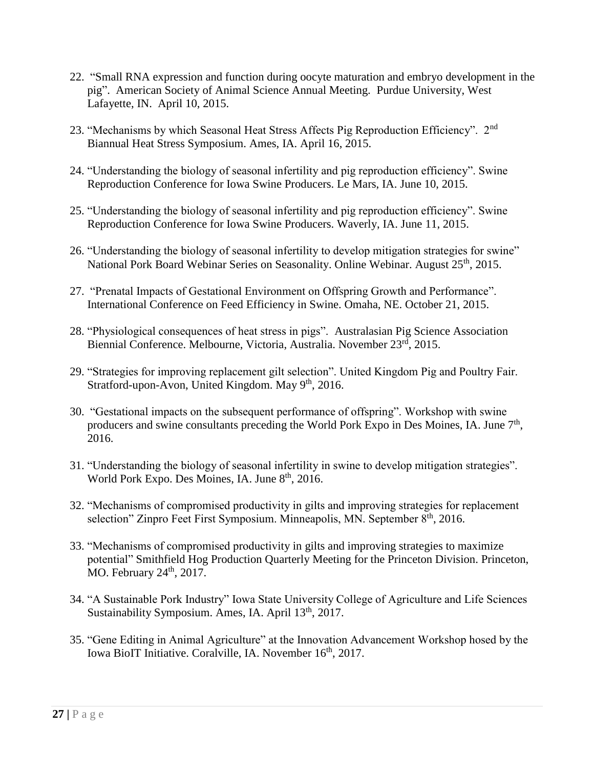- 22. "Small RNA expression and function during oocyte maturation and embryo development in the pig". American Society of Animal Science Annual Meeting. Purdue University, West Lafayette, IN. April 10, 2015.
- 23. "Mechanisms by which Seasonal Heat Stress Affects Pig Reproduction Efficiency". 2<sup>nd</sup> Biannual Heat Stress Symposium. Ames, IA. April 16, 2015.
- 24. "Understanding the biology of seasonal infertility and pig reproduction efficiency". Swine Reproduction Conference for Iowa Swine Producers. Le Mars, IA. June 10, 2015.
- 25. "Understanding the biology of seasonal infertility and pig reproduction efficiency". Swine Reproduction Conference for Iowa Swine Producers. Waverly, IA. June 11, 2015.
- 26. "Understanding the biology of seasonal infertility to develop mitigation strategies for swine" National Pork Board Webinar Series on Seasonality. Online Webinar. August 25<sup>th</sup>, 2015.
- 27. "Prenatal Impacts of Gestational Environment on Offspring Growth and Performance". International Conference on Feed Efficiency in Swine. Omaha, NE. October 21, 2015.
- 28. "Physiological consequences of heat stress in pigs". Australasian Pig Science Association Biennial Conference. Melbourne, Victoria, Australia. November 23<sup>rd</sup>, 2015.
- 29. "Strategies for improving replacement gilt selection". United Kingdom Pig and Poultry Fair. Stratford-upon-Avon, United Kingdom. May 9<sup>th</sup>, 2016.
- 30. "Gestational impacts on the subsequent performance of offspring". Workshop with swine producers and swine consultants preceding the World Pork Expo in Des Moines, IA. June  $7<sup>th</sup>$ , 2016.
- 31. "Understanding the biology of seasonal infertility in swine to develop mitigation strategies". World Pork Expo. Des Moines, IA. June 8<sup>th</sup>, 2016.
- 32. "Mechanisms of compromised productivity in gilts and improving strategies for replacement selection" Zinpro Feet First Symposium. Minneapolis, MN. September 8<sup>th</sup>, 2016.
- 33. "Mechanisms of compromised productivity in gilts and improving strategies to maximize potential" Smithfield Hog Production Quarterly Meeting for the Princeton Division. Princeton, MO. February 24<sup>th</sup>, 2017.
- 34. "A Sustainable Pork Industry" Iowa State University College of Agriculture and Life Sciences Sustainability Symposium. Ames, IA. April 13<sup>th</sup>, 2017.
- 35. "Gene Editing in Animal Agriculture" at the Innovation Advancement Workshop hosed by the Iowa BioIT Initiative. Coralville, IA. November 16<sup>th</sup>, 2017.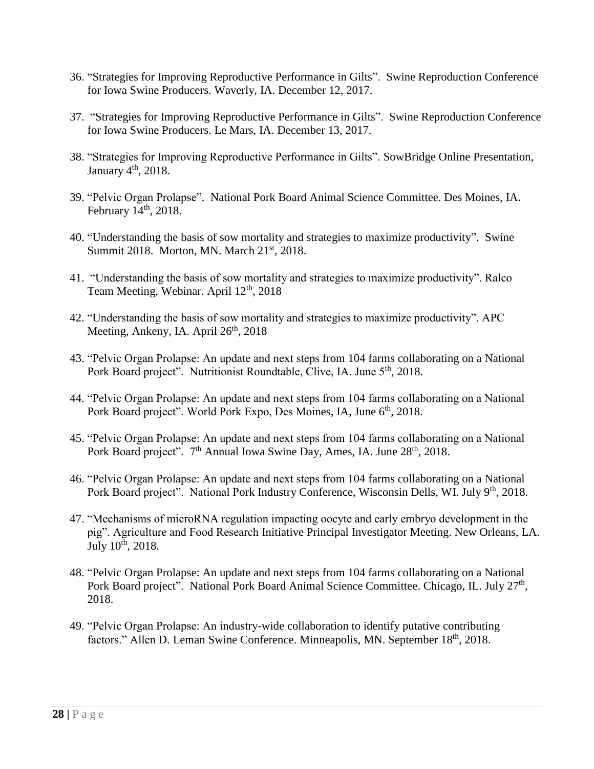- 36. "Strategies for Improving Reproductive Performance in Gilts". Swine Reproduction Conference for Iowa Swine Producers. Waverly, IA. December 12, 2017.
- 37. "Strategies for Improving Reproductive Performance in Gilts". Swine Reproduction Conference for Iowa Swine Producers. Le Mars, IA. December 13, 2017.
- 38. "Strategies for Improving Reproductive Performance in Gilts". SowBridge Online Presentation, January  $4<sup>th</sup>$ , 2018.
- 39. "Pelvic Organ Prolapse". National Pork Board Animal Science Committee. Des Moines, IA. February  $14<sup>th</sup>$ , 2018.
- 40. "Understanding the basis of sow mortality and strategies to maximize productivity". Swine Summit 2018. Morton, MN. March 21<sup>st</sup>, 2018.
- 41. "Understanding the basis of sow mortality and strategies to maximize productivity". Ralco Team Meeting, Webinar. April 12<sup>th</sup>, 2018
- 42. "Understanding the basis of sow mortality and strategies to maximize productivity". APC Meeting, Ankeny, IA. April  $26<sup>th</sup>$ , 2018
- 43. "Pelvic Organ Prolapse: An update and next steps from 104 farms collaborating on a National Pork Board project". Nutritionist Roundtable, Clive, IA. June 5<sup>th</sup>, 2018.
- 44. "Pelvic Organ Prolapse: An update and next steps from 104 farms collaborating on a National Pork Board project". World Pork Expo, Des Moines, IA, June 6<sup>th</sup>, 2018.
- 45. "Pelvic Organ Prolapse: An update and next steps from 104 farms collaborating on a National Pork Board project". 7<sup>th</sup> Annual Iowa Swine Day, Ames, IA. June 28<sup>th</sup>, 2018.
- 46. "Pelvic Organ Prolapse: An update and next steps from 104 farms collaborating on a National Pork Board project". National Pork Industry Conference, Wisconsin Dells, WI. July 9<sup>th</sup>, 2018.
- 47. "Mechanisms of microRNA regulation impacting oocyte and early embryo development in the pig". Agriculture and Food Research Initiative Principal Investigator Meeting. New Orleans, LA. July  $10^{th}$ , 2018.
- 48. "Pelvic Organ Prolapse: An update and next steps from 104 farms collaborating on a National Pork Board project". National Pork Board Animal Science Committee. Chicago, IL. July 27<sup>th</sup>, 2018.
- 49. "Pelvic Organ Prolapse: An industry-wide collaboration to identify putative contributing factors." Allen D. Leman Swine Conference. Minneapolis, MN. September 18<sup>th</sup>, 2018.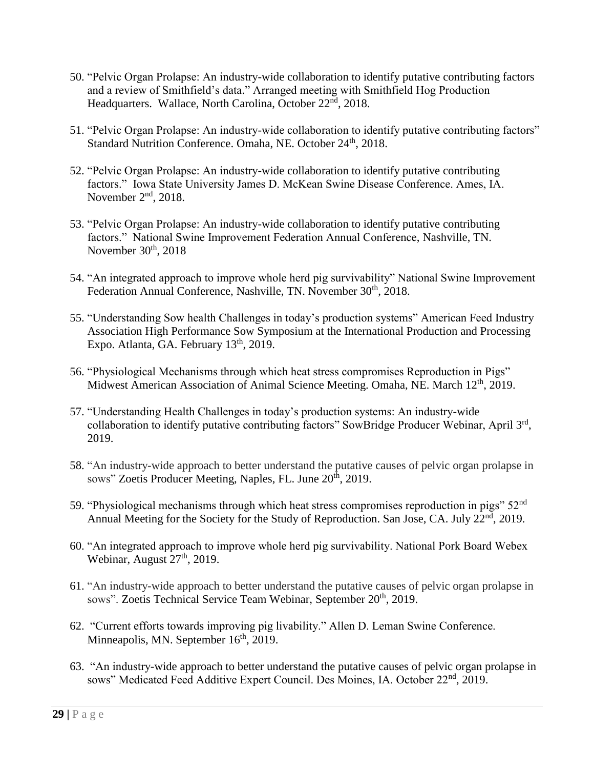- 50. "Pelvic Organ Prolapse: An industry-wide collaboration to identify putative contributing factors and a review of Smithfield's data." Arranged meeting with Smithfield Hog Production Headquarters. Wallace, North Carolina, October 22<sup>nd</sup>, 2018.
- 51. "Pelvic Organ Prolapse: An industry-wide collaboration to identify putative contributing factors" Standard Nutrition Conference. Omaha, NE. October 24<sup>th</sup>, 2018.
- 52. "Pelvic Organ Prolapse: An industry-wide collaboration to identify putative contributing factors." Iowa State University James D. McKean Swine Disease Conference. Ames, IA. November 2<sup>nd</sup>, 2018.
- 53. "Pelvic Organ Prolapse: An industry-wide collaboration to identify putative contributing factors." National Swine Improvement Federation Annual Conference, Nashville, TN. November 30<sup>th</sup>, 2018
- 54. "An integrated approach to improve whole herd pig survivability" National Swine Improvement Federation Annual Conference, Nashville, TN. November 30<sup>th</sup>, 2018.
- 55. "Understanding Sow health Challenges in today's production systems" American Feed Industry Association High Performance Sow Symposium at the International Production and Processing Expo. Atlanta, GA. February  $13<sup>th</sup>$ , 2019.
- 56. "Physiological Mechanisms through which heat stress compromises Reproduction in Pigs" Midwest American Association of Animal Science Meeting. Omaha, NE. March 12<sup>th</sup>, 2019.
- 57. "Understanding Health Challenges in today's production systems: An industry-wide collaboration to identify putative contributing factors" SowBridge Producer Webinar, April 3rd, 2019.
- 58. "An industry-wide approach to better understand the putative causes of pelvic organ prolapse in sows" Zoetis Producer Meeting, Naples, FL. June 20<sup>th</sup>, 2019.
- 59. "Physiological mechanisms through which heat stress compromises reproduction in pigs" 52<sup>nd</sup> Annual Meeting for the Society for the Study of Reproduction. San Jose, CA. July 22<sup>nd</sup>, 2019.
- 60. "An integrated approach to improve whole herd pig survivability. National Pork Board Webex Webinar, August 27<sup>th</sup>, 2019.
- 61. "An industry-wide approach to better understand the putative causes of pelvic organ prolapse in sows". Zoetis Technical Service Team Webinar, September 20<sup>th</sup>, 2019.
- 62. "Current efforts towards improving pig livability." Allen D. Leman Swine Conference. Minneapolis, MN. September 16<sup>th</sup>, 2019.
- 63. "An industry-wide approach to better understand the putative causes of pelvic organ prolapse in sows" Medicated Feed Additive Expert Council. Des Moines, IA. October 22<sup>nd</sup>, 2019.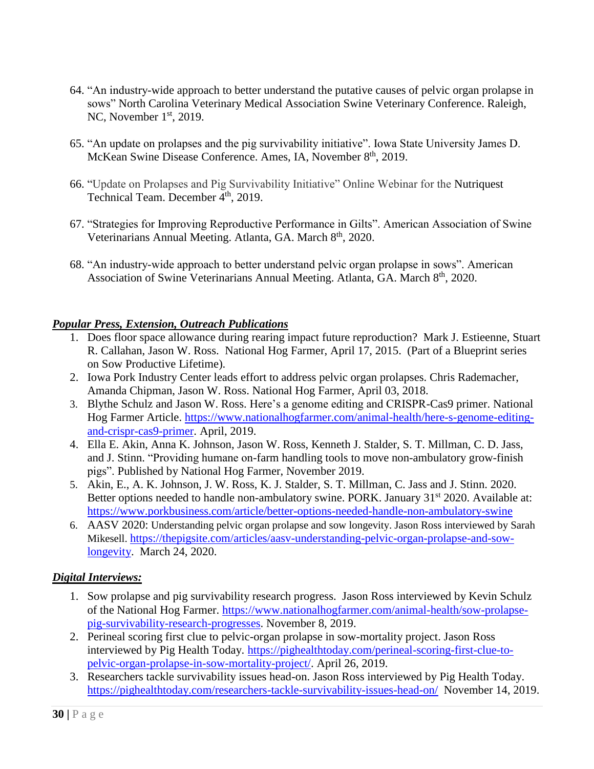- 64. "An industry-wide approach to better understand the putative causes of pelvic organ prolapse in sows" North Carolina Veterinary Medical Association Swine Veterinary Conference. Raleigh, NC, November  $1<sup>st</sup>$ , 2019.
- 65. "An update on prolapses and the pig survivability initiative". Iowa State University James D. McKean Swine Disease Conference. Ames, IA, November 8<sup>th</sup>, 2019.
- 66. "Update on Prolapses and Pig Survivability Initiative" Online Webinar for the Nutriquest Technical Team. December  $4<sup>th</sup>$ , 2019.
- 67. "Strategies for Improving Reproductive Performance in Gilts". American Association of Swine Veterinarians Annual Meeting. Atlanta, GA. March 8<sup>th</sup>, 2020.
- 68. "An industry-wide approach to better understand pelvic organ prolapse in sows". American Association of Swine Veterinarians Annual Meeting. Atlanta, GA. March 8<sup>th</sup>, 2020.

# *Popular Press, Extension, Outreach Publications*

- 1. Does floor space allowance during rearing impact future reproduction? Mark J. Estieenne, Stuart R. Callahan, Jason W. Ross. National Hog Farmer, April 17, 2015. (Part of a Blueprint series on Sow Productive Lifetime).
- 2. Iowa Pork Industry Center leads effort to address pelvic organ prolapses. Chris Rademacher, Amanda Chipman, Jason W. Ross. National Hog Farmer, April 03, 2018.
- 3. Blythe Schulz and Jason W. Ross. Here's a genome editing and CRISPR-Cas9 primer. National Hog Farmer Article. [https://www.nationalhogfarmer.com/animal-health/here-s-genome-editing](https://www.nationalhogfarmer.com/animal-health/here-s-genome-editing-and-crispr-cas9-primer)[and-crispr-cas9-primer.](https://www.nationalhogfarmer.com/animal-health/here-s-genome-editing-and-crispr-cas9-primer) April, 2019.
- 4. Ella E. Akin, Anna K. Johnson, Jason W. Ross, Kenneth J. Stalder, S. T. Millman, C. D. Jass, and J. Stinn. "Providing humane on-farm handling tools to move non-ambulatory grow-finish pigs". Published by National Hog Farmer, November 2019.
- 5. Akin, E., A. K. Johnson, J. W. Ross, K. J. Stalder, S. T. Millman, C. Jass and J. Stinn. 2020. Better options needed to handle non-ambulatory swine. PORK. January 31<sup>st</sup> 2020. Available at: <https://www.porkbusiness.com/article/better-options-needed-handle-non-ambulatory-swine>
- 6. AASV 2020: Understanding pelvic organ prolapse and sow longevity. Jason Ross interviewed by Sarah Mikesell. [https://thepigsite.com/articles/aasv-understanding-pelvic-organ-prolapse-and-sow](https://thepigsite.com/articles/aasv-understanding-pelvic-organ-prolapse-and-sow-longevity)[longevity.](https://thepigsite.com/articles/aasv-understanding-pelvic-organ-prolapse-and-sow-longevity) March 24, 2020.

### *Digital Interviews:*

- 1. Sow prolapse and pig survivability research progress. Jason Ross interviewed by Kevin Schulz of the National Hog Farmer. [https://www.nationalhogfarmer.com/animal-health/sow-prolapse](https://www.nationalhogfarmer.com/animal-health/sow-prolapse-pig-survivability-research-progresses)[pig-survivability-research-progresses.](https://www.nationalhogfarmer.com/animal-health/sow-prolapse-pig-survivability-research-progresses) November 8, 2019.
- 2. Perineal scoring first clue to pelvic-organ prolapse in sow-mortality project. Jason Ross interviewed by Pig Health Today. [https://pighealthtoday.com/perineal-scoring-first-clue-to](https://pighealthtoday.com/perineal-scoring-first-clue-to-pelvic-organ-prolapse-in-sow-mortality-project/)[pelvic-organ-prolapse-in-sow-mortality-project/.](https://pighealthtoday.com/perineal-scoring-first-clue-to-pelvic-organ-prolapse-in-sow-mortality-project/) April 26, 2019.
- 3. Researchers tackle survivability issues head-on. Jason Ross interviewed by Pig Health Today. <https://pighealthtoday.com/researchers-tackle-survivability-issues-head-on/>November 14, 2019.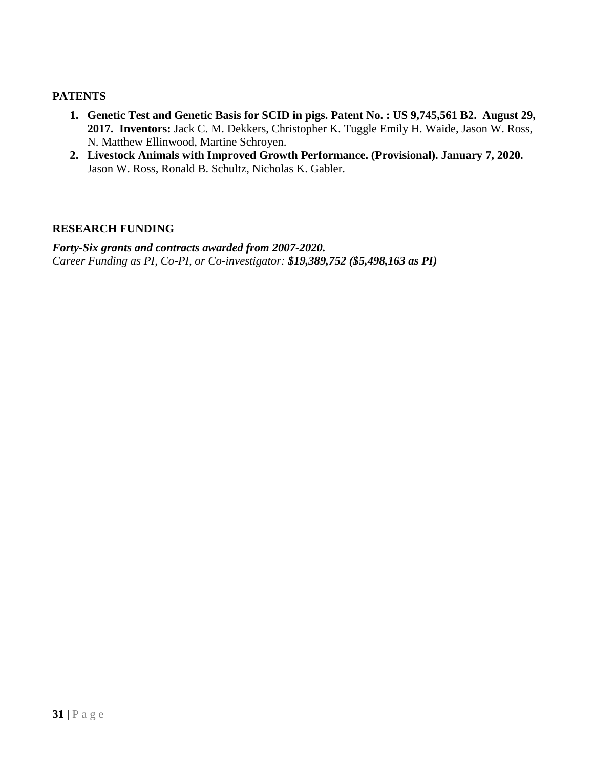### **PATENTS**

- **1. Genetic Test and Genetic Basis for SCID in pigs. Patent No. : US 9,745,561 B2. August 29, 2017. Inventors:** Jack C. M. Dekkers, Christopher K. Tuggle Emily H. Waide, Jason W. Ross, N. Matthew Ellinwood, Martine Schroyen.
- **2. Livestock Animals with Improved Growth Performance. (Provisional). January 7, 2020.**  Jason W. Ross, Ronald B. Schultz, Nicholas K. Gabler.

### **RESEARCH FUNDING**

*Forty-Six grants and contracts awarded from 2007-2020. Career Funding as PI, Co-PI, or Co-investigator: \$19,389,752 (\$5,498,163 as PI)*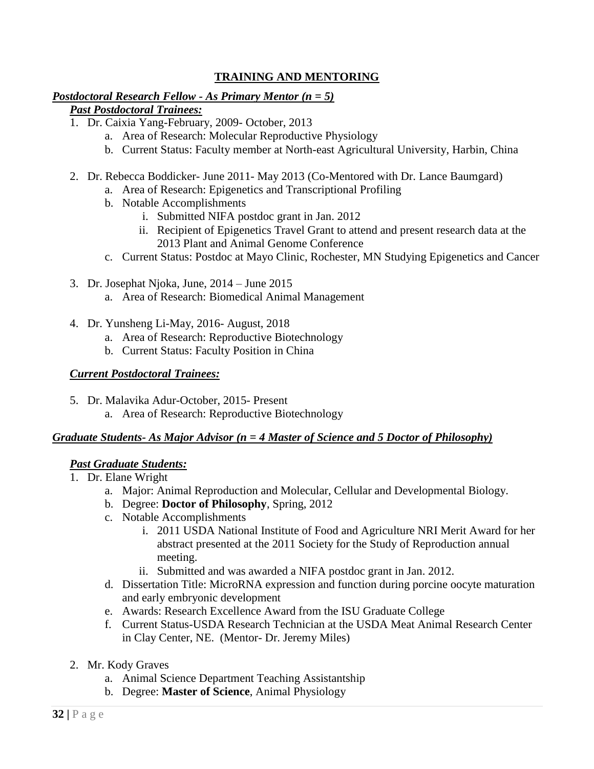# **TRAINING AND MENTORING**

### *Postdoctoral Research Fellow - As Primary Mentor (n = 5)*

### *Past Postdoctoral Trainees:*

- 1. Dr. Caixia Yang-February, 2009- October, 2013
	- a. Area of Research: Molecular Reproductive Physiology
	- b. Current Status: Faculty member at North-east Agricultural University, Harbin, China
- 2. Dr. Rebecca Boddicker- June 2011- May 2013 (Co-Mentored with Dr. Lance Baumgard)
	- a. Area of Research: Epigenetics and Transcriptional Profiling
	- b. Notable Accomplishments
		- i. Submitted NIFA postdoc grant in Jan. 2012
		- ii. Recipient of Epigenetics Travel Grant to attend and present research data at the 2013 Plant and Animal Genome Conference
	- c. Current Status: Postdoc at Mayo Clinic, Rochester, MN Studying Epigenetics and Cancer
- 3. Dr. Josephat Njoka, June, 2014 June 2015
	- a. Area of Research: Biomedical Animal Management
- 4. Dr. Yunsheng Li-May, 2016- August, 2018
	- a. Area of Research: Reproductive Biotechnology
	- b. Current Status: Faculty Position in China

# *Current Postdoctoral Trainees:*

- 5. Dr. Malavika Adur-October, 2015- Present
	- a. Area of Research: Reproductive Biotechnology

### *Graduate Students- As Major Advisor (n = 4 Master of Science and 5 Doctor of Philosophy)*

### *Past Graduate Students:*

- 1. Dr. Elane Wright
	- a. Major: Animal Reproduction and Molecular, Cellular and Developmental Biology.
	- b. Degree: **Doctor of Philosophy**, Spring, 2012
	- c. Notable Accomplishments
		- i. 2011 USDA National Institute of Food and Agriculture NRI Merit Award for her abstract presented at the 2011 Society for the Study of Reproduction annual meeting.
		- ii. Submitted and was awarded a NIFA postdoc grant in Jan. 2012.
	- d. Dissertation Title: MicroRNA expression and function during porcine oocyte maturation and early embryonic development
	- e. Awards: Research Excellence Award from the ISU Graduate College
	- f. Current Status-USDA Research Technician at the USDA Meat Animal Research Center in Clay Center, NE. (Mentor- Dr. Jeremy Miles)
- 2. Mr. Kody Graves
	- a. Animal Science Department Teaching Assistantship
	- b. Degree: **Master of Science**, Animal Physiology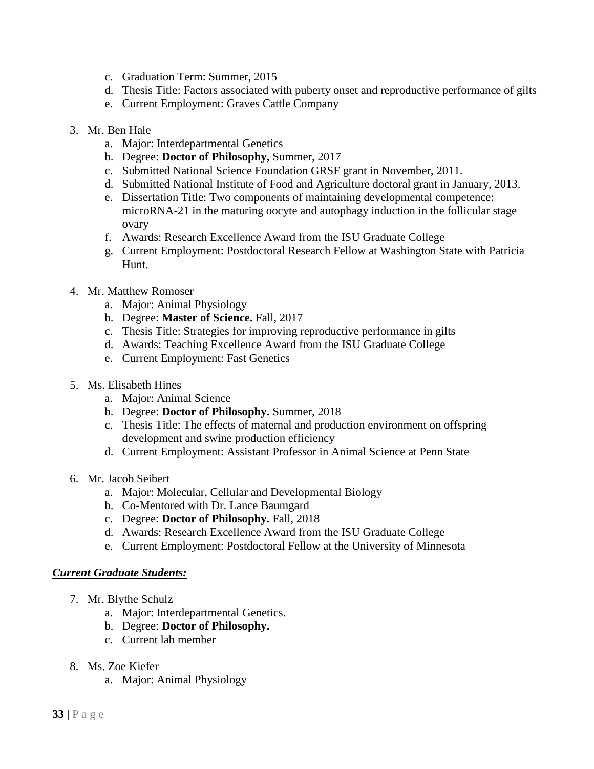- c. Graduation Term: Summer, 2015
- d. Thesis Title: Factors associated with puberty onset and reproductive performance of gilts
- e. Current Employment: Graves Cattle Company
- 3. Mr. Ben Hale
	- a. Major: Interdepartmental Genetics
	- b. Degree: **Doctor of Philosophy,** Summer, 2017
	- c. Submitted National Science Foundation GRSF grant in November, 2011.
	- d. Submitted National Institute of Food and Agriculture doctoral grant in January, 2013.
	- e. Dissertation Title: Two components of maintaining developmental competence: microRNA-21 in the maturing oocyte and autophagy induction in the follicular stage ovary
	- f. Awards: Research Excellence Award from the ISU Graduate College
	- g. Current Employment: Postdoctoral Research Fellow at Washington State with Patricia Hunt.
- 4. Mr. Matthew Romoser
	- a. Major: Animal Physiology
	- b. Degree: **Master of Science.** Fall, 2017
	- c. Thesis Title: Strategies for improving reproductive performance in gilts
	- d. Awards: Teaching Excellence Award from the ISU Graduate College
	- e. Current Employment: Fast Genetics
- 5. Ms. Elisabeth Hines
	- a. Major: Animal Science
	- b. Degree: **Doctor of Philosophy.** Summer, 2018
	- c. Thesis Title: The effects of maternal and production environment on offspring development and swine production efficiency
	- d. Current Employment: Assistant Professor in Animal Science at Penn State
- 6. Mr. Jacob Seibert
	- a. Major: Molecular, Cellular and Developmental Biology
	- b. Co-Mentored with Dr. Lance Baumgard
	- c. Degree: **Doctor of Philosophy.** Fall, 2018
	- d. Awards: Research Excellence Award from the ISU Graduate College
	- e. Current Employment: Postdoctoral Fellow at the University of Minnesota

### *Current Graduate Students:*

- 7. Mr. Blythe Schulz
	- a. Major: Interdepartmental Genetics.
	- b. Degree: **Doctor of Philosophy.**
	- c. Current lab member
- 8. Ms. Zoe Kiefer
	- a. Major: Animal Physiology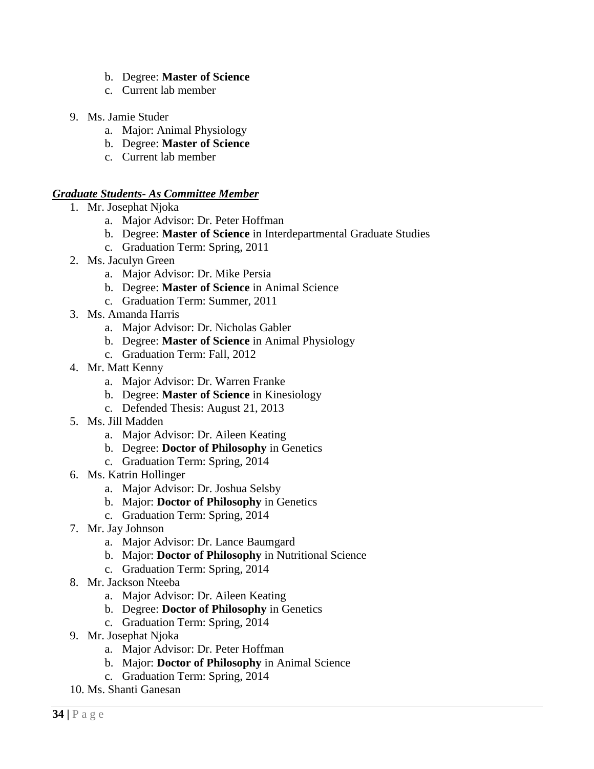- b. Degree: **Master of Science**
- c. Current lab member
- 9. Ms. Jamie Studer
	- a. Major: Animal Physiology
	- b. Degree: **Master of Science**
	- c. Current lab member

### *Graduate Students- As Committee Member*

- 1. Mr. Josephat Njoka
	- a. Major Advisor: Dr. Peter Hoffman
	- b. Degree: **Master of Science** in Interdepartmental Graduate Studies
	- c. Graduation Term: Spring, 2011
- 2. Ms. Jaculyn Green
	- a. Major Advisor: Dr. Mike Persia
	- b. Degree: **Master of Science** in Animal Science
	- c. Graduation Term: Summer, 2011
- 3. Ms. Amanda Harris
	- a. Major Advisor: Dr. Nicholas Gabler
	- b. Degree: **Master of Science** in Animal Physiology
	- c. Graduation Term: Fall, 2012
- 4. Mr. Matt Kenny
	- a. Major Advisor: Dr. Warren Franke
	- b. Degree: **Master of Science** in Kinesiology
	- c. Defended Thesis: August 21, 2013
- 5. Ms. Jill Madden
	- a. Major Advisor: Dr. Aileen Keating
	- b. Degree: **Doctor of Philosophy** in Genetics
	- c. Graduation Term: Spring, 2014
- 6. Ms. Katrin Hollinger
	- a. Major Advisor: Dr. Joshua Selsby
	- b. Major: **Doctor of Philosophy** in Genetics
	- c. Graduation Term: Spring, 2014
- 7. Mr. Jay Johnson
	- a. Major Advisor: Dr. Lance Baumgard
	- b. Major: **Doctor of Philosophy** in Nutritional Science
	- c. Graduation Term: Spring, 2014
- 8. Mr. Jackson Nteeba
	- a. Major Advisor: Dr. Aileen Keating
	- b. Degree: **Doctor of Philosophy** in Genetics
	- c. Graduation Term: Spring, 2014
- 9. Mr. Josephat Njoka
	- a. Major Advisor: Dr. Peter Hoffman
	- b. Major: **Doctor of Philosophy** in Animal Science
	- c. Graduation Term: Spring, 2014
- 10. Ms. Shanti Ganesan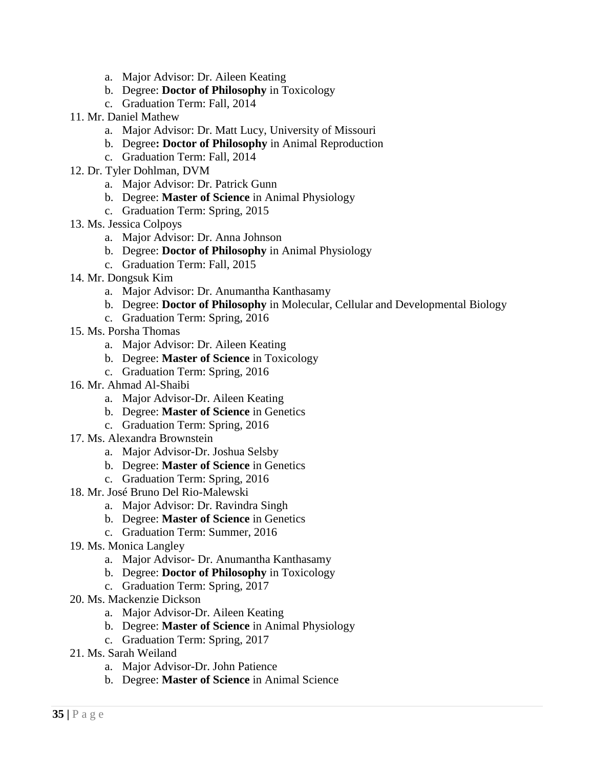- a. Major Advisor: Dr. Aileen Keating
- b. Degree: **Doctor of Philosophy** in Toxicology
- c. Graduation Term: Fall, 2014
- 11. Mr. Daniel Mathew
	- a. Major Advisor: Dr. Matt Lucy, University of Missouri
	- b. Degree**: Doctor of Philosophy** in Animal Reproduction
	- c. Graduation Term: Fall, 2014
- 12. Dr. Tyler Dohlman, DVM
	- a. Major Advisor: Dr. Patrick Gunn
	- b. Degree: **Master of Science** in Animal Physiology
	- c. Graduation Term: Spring, 2015
- 13. Ms. Jessica Colpoys
	- a. Major Advisor: Dr. Anna Johnson
	- b. Degree: **Doctor of Philosophy** in Animal Physiology
	- c. Graduation Term: Fall, 2015
- 14. Mr. Dongsuk Kim
	- a. Major Advisor: Dr. Anumantha Kanthasamy
	- b. Degree: **Doctor of Philosophy** in Molecular, Cellular and Developmental Biology
	- c. Graduation Term: Spring, 2016
- 15. Ms. Porsha Thomas
	- a. Major Advisor: Dr. Aileen Keating
	- b. Degree: **Master of Science** in Toxicology
	- c. Graduation Term: Spring, 2016
- 16. Mr. Ahmad Al-Shaibi
	- a. Major Advisor-Dr. Aileen Keating
	- b. Degree: **Master of Science** in Genetics
	- c. Graduation Term: Spring, 2016
- 17. Ms. Alexandra Brownstein
	- a. Major Advisor-Dr. Joshua Selsby
	- b. Degree: **Master of Science** in Genetics
	- c. Graduation Term: Spring, 2016
- 18. Mr. José Bruno Del Rio-Malewski
	- a. Major Advisor: Dr. Ravindra Singh
	- b. Degree: **Master of Science** in Genetics
	- c. Graduation Term: Summer, 2016
- 19. Ms. Monica Langley
	- a. Major Advisor- Dr. Anumantha Kanthasamy
	- b. Degree: **Doctor of Philosophy** in Toxicology
	- c. Graduation Term: Spring, 2017
- 20. Ms. Mackenzie Dickson
	- a. Major Advisor-Dr. Aileen Keating
	- b. Degree: **Master of Science** in Animal Physiology
	- c. Graduation Term: Spring, 2017
- 21. Ms. Sarah Weiland
	- a. Major Advisor-Dr. John Patience
	- b. Degree: **Master of Science** in Animal Science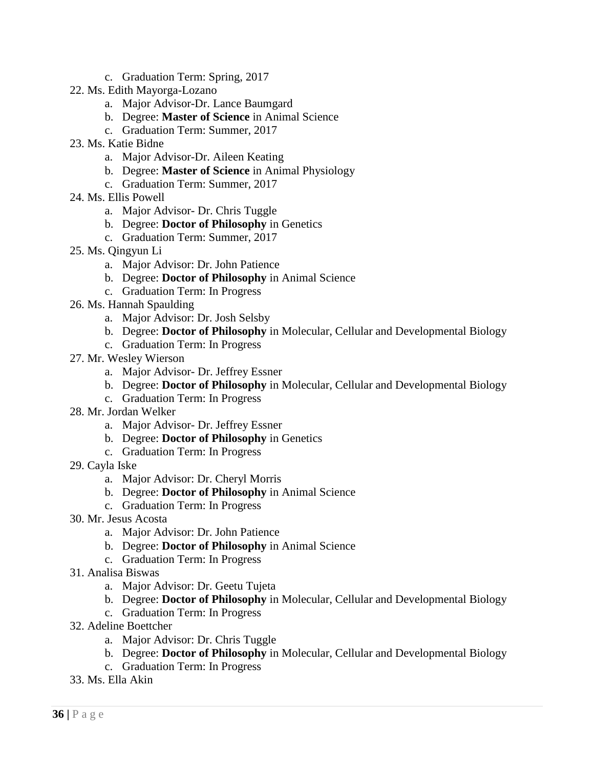- c. Graduation Term: Spring, 2017
- 22. Ms. Edith Mayorga-Lozano
	- a. Major Advisor-Dr. Lance Baumgard
	- b. Degree: **Master of Science** in Animal Science
	- c. Graduation Term: Summer, 2017
- 23. Ms. Katie Bidne
	- a. Major Advisor-Dr. Aileen Keating
	- b. Degree: **Master of Science** in Animal Physiology
	- c. Graduation Term: Summer, 2017
- 24. Ms. Ellis Powell
	- a. Major Advisor- Dr. Chris Tuggle
	- b. Degree: **Doctor of Philosophy** in Genetics
	- c. Graduation Term: Summer, 2017
- 25. Ms. Qingyun Li
	- a. Major Advisor: Dr. John Patience
	- b. Degree: **Doctor of Philosophy** in Animal Science
	- c. Graduation Term: In Progress
- 26. Ms. Hannah Spaulding
	- a. Major Advisor: Dr. Josh Selsby
	- b. Degree: **Doctor of Philosophy** in Molecular, Cellular and Developmental Biology
	- c. Graduation Term: In Progress
- 27. Mr. Wesley Wierson
	- a. Major Advisor- Dr. Jeffrey Essner
	- b. Degree: **Doctor of Philosophy** in Molecular, Cellular and Developmental Biology
	- c. Graduation Term: In Progress
- 28. Mr. Jordan Welker
	- a. Major Advisor- Dr. Jeffrey Essner
	- b. Degree: **Doctor of Philosophy** in Genetics
	- c. Graduation Term: In Progress
- 29. Cayla Iske
	- a. Major Advisor: Dr. Cheryl Morris
	- b. Degree: **Doctor of Philosophy** in Animal Science
	- c. Graduation Term: In Progress
- 30. Mr. Jesus Acosta
	- a. Major Advisor: Dr. John Patience
	- b. Degree: **Doctor of Philosophy** in Animal Science
	- c. Graduation Term: In Progress
- 31. Analisa Biswas
	- a. Major Advisor: Dr. Geetu Tujeta
	- b. Degree: **Doctor of Philosophy** in Molecular, Cellular and Developmental Biology
	- c. Graduation Term: In Progress
- 32. Adeline Boettcher
	- a. Major Advisor: Dr. Chris Tuggle
	- b. Degree: **Doctor of Philosophy** in Molecular, Cellular and Developmental Biology
	- c. Graduation Term: In Progress
- 33. Ms. Ella Akin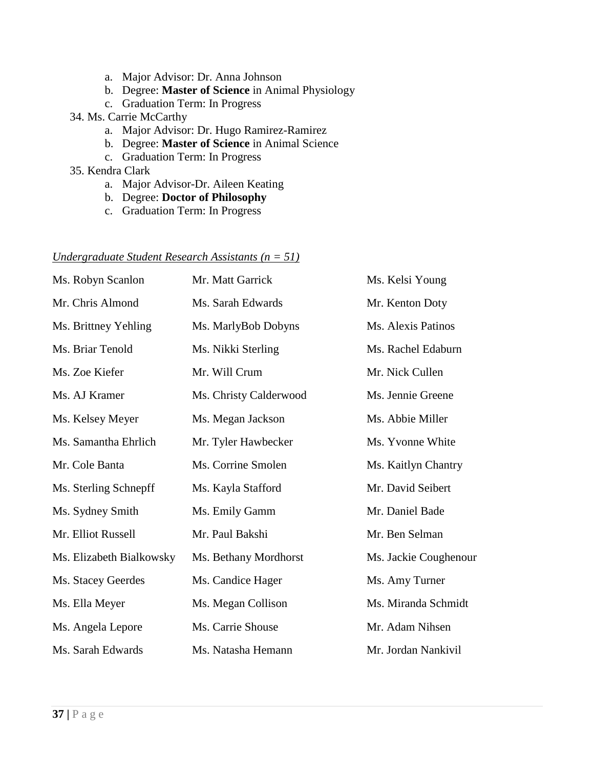- a. Major Advisor: Dr. Anna Johnson
- b. Degree: **Master of Science** in Animal Physiology
- c. Graduation Term: In Progress

#### 34. Ms. Carrie McCarthy

- a. Major Advisor: Dr. Hugo Ramirez-Ramirez
- b. Degree: **Master of Science** in Animal Science
- c. Graduation Term: In Progress
- 35. Kendra Clark
	- a. Major Advisor-Dr. Aileen Keating
	- b. Degree: **Doctor of Philosophy**
	- c. Graduation Term: In Progress

### *Undergraduate Student Research Assistants (n = 51)*

| Ms. Robyn Scanlon        | Mr. Matt Garrick       | Ms. Kelsi Young       |
|--------------------------|------------------------|-----------------------|
| Mr. Chris Almond         | Ms. Sarah Edwards      | Mr. Kenton Doty       |
| Ms. Brittney Yehling     | Ms. MarlyBob Dobyns    | Ms. Alexis Patinos    |
| Ms. Briar Tenold         | Ms. Nikki Sterling     | Ms. Rachel Edaburn    |
| Ms. Zoe Kiefer           | Mr. Will Crum          | Mr. Nick Cullen       |
| Ms. AJ Kramer            | Ms. Christy Calderwood | Ms. Jennie Greene     |
| Ms. Kelsey Meyer         | Ms. Megan Jackson      | Ms. Abbie Miller      |
| Ms. Samantha Ehrlich     | Mr. Tyler Hawbecker    | Ms. Yvonne White      |
| Mr. Cole Banta           | Ms. Corrine Smolen     | Ms. Kaitlyn Chantry   |
| Ms. Sterling Schnepff    | Ms. Kayla Stafford     | Mr. David Seibert     |
| Ms. Sydney Smith         | Ms. Emily Gamm         | Mr. Daniel Bade       |
| Mr. Elliot Russell       | Mr. Paul Bakshi        | Mr. Ben Selman        |
| Ms. Elizabeth Bialkowsky | Ms. Bethany Mordhorst  | Ms. Jackie Coughenour |
| Ms. Stacey Geerdes       | Ms. Candice Hager      | Ms. Amy Turner        |
| Ms. Ella Meyer           | Ms. Megan Collison     | Ms. Miranda Schmidt   |
| Ms. Angela Lepore        | Ms. Carrie Shouse      | Mr. Adam Nihsen       |
| Ms. Sarah Edwards        | Ms. Natasha Hemann     | Mr. Jordan Nankivil   |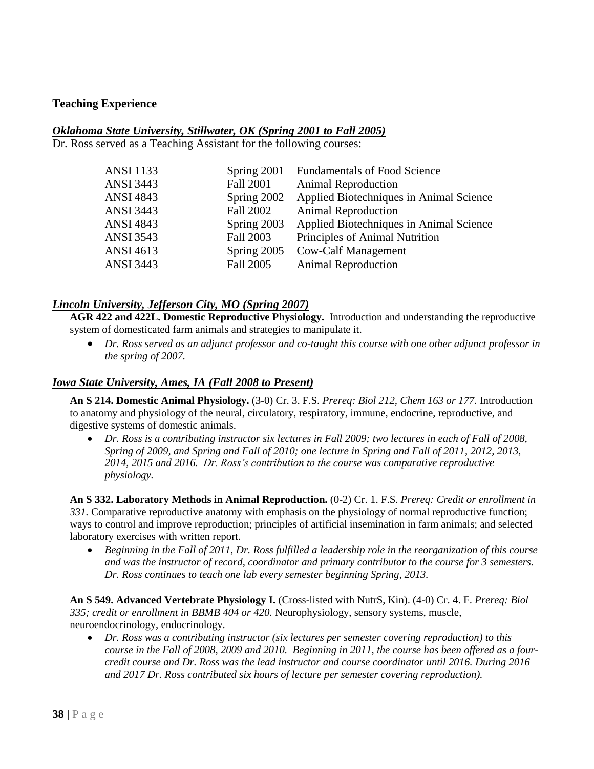### **Teaching Experience**

#### *Oklahoma State University, Stillwater, OK (Spring 2001 to Fall 2005)*

Dr. Ross served as a Teaching Assistant for the following courses:

| <b>ANSI</b> 1133 | Spring 2001      | <b>Fundamentals of Food Science</b>     |
|------------------|------------------|-----------------------------------------|
| <b>ANSI 3443</b> | <b>Fall 2001</b> | <b>Animal Reproduction</b>              |
| <b>ANSI 4843</b> | Spring 2002      | Applied Biotechniques in Animal Science |
| <b>ANSI 3443</b> | <b>Fall 2002</b> | <b>Animal Reproduction</b>              |
| <b>ANSI 4843</b> | Spring 2003      | Applied Biotechniques in Animal Science |
| <b>ANSI 3543</b> | Fall 2003        | Principles of Animal Nutrition          |
| <b>ANSI 4613</b> | Spring 2005      | <b>Cow-Calf Management</b>              |
| <b>ANSI 3443</b> | Fall 2005        | <b>Animal Reproduction</b>              |
|                  |                  |                                         |

#### *Lincoln University, Jefferson City, MO (Spring 2007)*

**AGR 422 and 422L. Domestic Reproductive Physiology.** Introduction and understanding the reproductive system of domesticated farm animals and strategies to manipulate it.

 *Dr. Ross served as an adjunct professor and co-taught this course with one other adjunct professor in the spring of 2007.*

#### *Iowa State University, Ames, IA (Fall 2008 to Present)*

**An S 214. Domestic Animal Physiology.** (3-0) Cr. 3. F.S. *Prereq: Biol 212, Chem 163 or 177.* Introduction to anatomy and physiology of the neural, circulatory, respiratory, immune, endocrine, reproductive, and digestive systems of domestic animals.

 *Dr. Ross is a contributing instructor six lectures in Fall 2009; two lectures in each of Fall of 2008, Spring of 2009, and Spring and Fall of 2010; one lecture in Spring and Fall of 2011, 2012, 2013, 2014, 2015 and 2016. Dr. Ross's contribution to the course was comparative reproductive physiology.* 

**An S 332. Laboratory Methods in Animal Reproduction.** (0-2) Cr. 1. F.S. *Prereq: Credit or enrollment in 331.* Comparative reproductive anatomy with emphasis on the physiology of normal reproductive function; ways to control and improve reproduction; principles of artificial insemination in farm animals; and selected laboratory exercises with written report.

 *Beginning in the Fall of 2011, Dr. Ross fulfilled a leadership role in the reorganization of this course and was the instructor of record, coordinator and primary contributor to the course for 3 semesters. Dr. Ross continues to teach one lab every semester beginning Spring, 2013.* 

**An S 549. Advanced Vertebrate Physiology I.** (Cross-listed with NutrS, Kin). (4-0) Cr. 4. F. *Prereq: Biol 335; credit or enrollment in BBMB 404 or 420.* Neurophysiology, sensory systems, muscle, neuroendocrinology, endocrinology.

 *Dr. Ross was a contributing instructor (six lectures per semester covering reproduction) to this course in the Fall of 2008, 2009 and 2010. Beginning in 2011, the course has been offered as a fourcredit course and Dr. Ross was the lead instructor and course coordinator until 2016. During 2016 and 2017 Dr. Ross contributed six hours of lecture per semester covering reproduction).*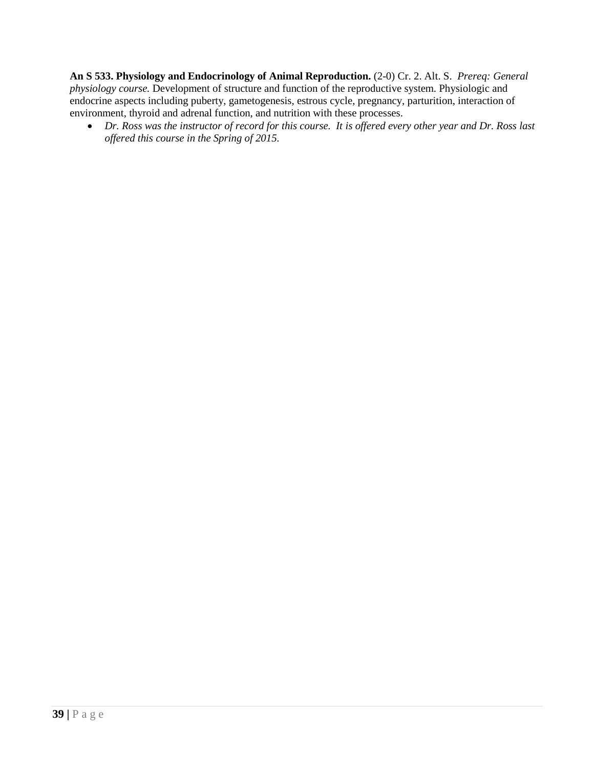**An S 533. Physiology and Endocrinology of Animal Reproduction.** (2-0) Cr. 2. Alt. S. *Prereq: General physiology course.* Development of structure and function of the reproductive system. Physiologic and endocrine aspects including puberty, gametogenesis, estrous cycle, pregnancy, parturition, interaction of environment, thyroid and adrenal function, and nutrition with these processes.

 *Dr. Ross was the instructor of record for this course. It is offered every other year and Dr. Ross last offered this course in the Spring of 2015.*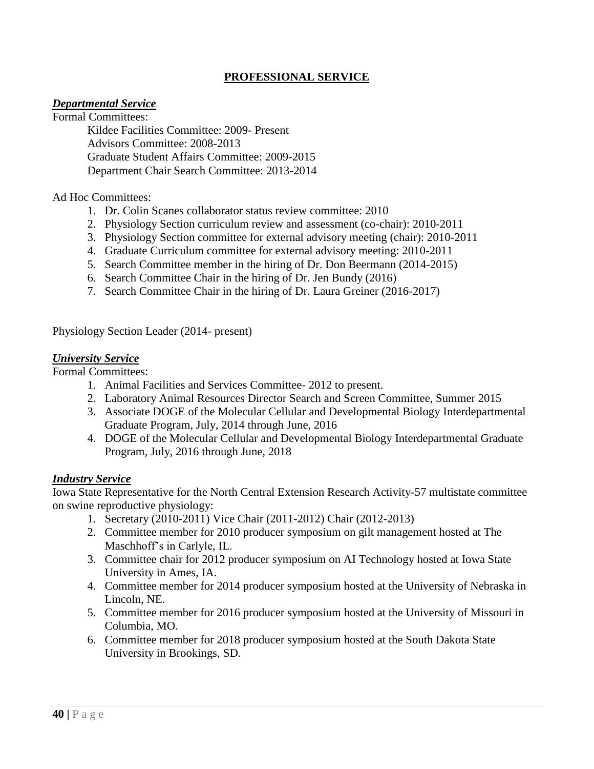# **PROFESSIONAL SERVICE**

### *Departmental Service*

Formal Committees: Kildee Facilities Committee: 2009- Present Advisors Committee: 2008-2013 Graduate Student Affairs Committee: 2009-2015 Department Chair Search Committee: 2013-2014

Ad Hoc Committees:

- 1. Dr. Colin Scanes collaborator status review committee: 2010
- 2. Physiology Section curriculum review and assessment (co-chair): 2010-2011
- 3. Physiology Section committee for external advisory meeting (chair): 2010-2011
- 4. Graduate Curriculum committee for external advisory meeting: 2010-2011
- 5. Search Committee member in the hiring of Dr. Don Beermann (2014-2015)
- 6. Search Committee Chair in the hiring of Dr. Jen Bundy (2016)
- 7. Search Committee Chair in the hiring of Dr. Laura Greiner (2016-2017)

Physiology Section Leader (2014- present)

#### *University Service*

Formal Committees:

- 1. Animal Facilities and Services Committee- 2012 to present.
- 2. Laboratory Animal Resources Director Search and Screen Committee, Summer 2015
- 3. Associate DOGE of the Molecular Cellular and Developmental Biology Interdepartmental Graduate Program, July, 2014 through June, 2016
- 4. DOGE of the Molecular Cellular and Developmental Biology Interdepartmental Graduate Program, July, 2016 through June, 2018

#### *Industry Service*

Iowa State Representative for the North Central Extension Research Activity-57 multistate committee on swine reproductive physiology:

- 1. Secretary (2010-2011) Vice Chair (2011-2012) Chair (2012-2013)
- 2. Committee member for 2010 producer symposium on gilt management hosted at The Maschhoff's in Carlyle, IL.
- 3. Committee chair for 2012 producer symposium on AI Technology hosted at Iowa State University in Ames, IA.
- 4. Committee member for 2014 producer symposium hosted at the University of Nebraska in Lincoln, NE.
- 5. Committee member for 2016 producer symposium hosted at the University of Missouri in Columbia, MO.
- 6. Committee member for 2018 producer symposium hosted at the South Dakota State University in Brookings, SD.